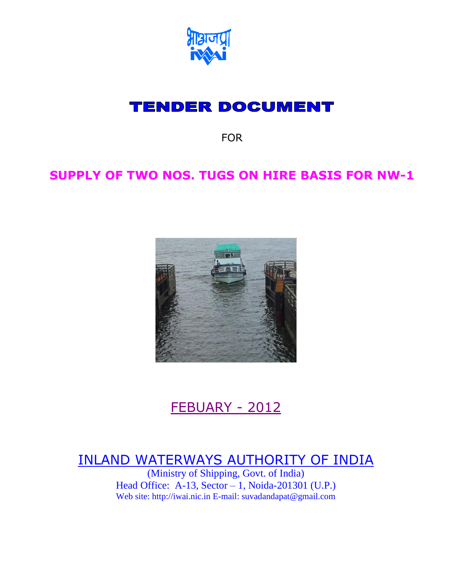

# **TENDER DOCUMENT**

FOR

# **SUPPLY OF TWO NOS. TUGS ON HIRE BASIS FOR NW-1**



# FEBUARY - 2012

# INLAND WATERWAYS AUTHORITY OF INDIA

(Ministry of Shipping, Govt. of India) Head Office: A-13, Sector – 1, Noida-201301 (U.P.) Web site: http://iwai.nic.in E-mail: suvadandapat@gmail.com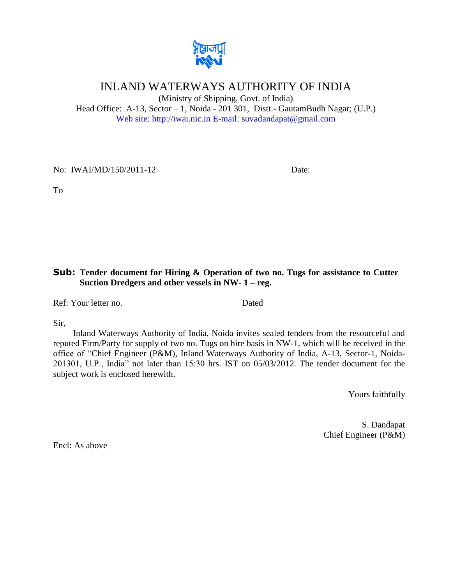

# INLAND WATERWAYS AUTHORITY OF INDIA

(Ministry of Shipping, Govt. of India) Head Office: A-13, Sector – 1, Noida - 201 301, Distt.- GautamBudh Nagar; (U.P.) Web site: http://iwai.nic.in E-mail: suvadandapat@gmail.com

No: IWAI/MD/150/2011-12 Date:

To

#### **Sub: Tender document for Hiring & Operation of two no. Tugs for assistance to Cutter Suction Dredgers and other vessels in NW- 1 – reg.**

Ref: Your letter no. Dated

Sir,

Inland Waterways Authority of India, Noida invites sealed tenders from the resourceful and reputed Firm/Party for supply of two no. Tugs on hire basis in NW-1, which will be received in the office of "Chief Engineer (P&M), Inland Waterways Authority of India, A-13, Sector-1, Noida-201301, U.P., India" not later than 15:30 hrs. IST on 05/03/2012. The tender document for the subject work is enclosed herewith.

Yours faithfully

S. Dandapat Chief Engineer (P&M)

Encl: As above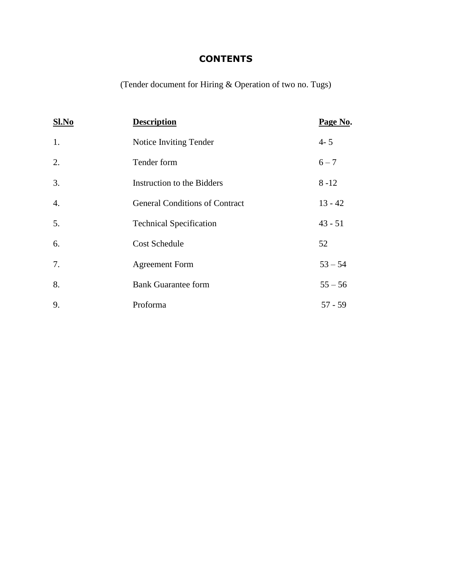# **CONTENTS**

(Tender document for Hiring & Operation of two no. Tugs)

| S1.No            | <b>Description</b>                    | Page No.  |
|------------------|---------------------------------------|-----------|
| 1.               | Notice Inviting Tender                | $4 - 5$   |
| 2.               | Tender form                           | $6 - 7$   |
| 3.               | Instruction to the Bidders            | $8 - 12$  |
| $\overline{4}$ . | <b>General Conditions of Contract</b> | $13 - 42$ |
| 5.               | <b>Technical Specification</b>        | $43 - 51$ |
| 6.               | <b>Cost Schedule</b>                  | 52        |
| 7.               | <b>Agreement Form</b>                 | $53 - 54$ |
| 8.               | <b>Bank Guarantee form</b>            | $55 - 56$ |
| 9.               | Proforma                              | $57 - 59$ |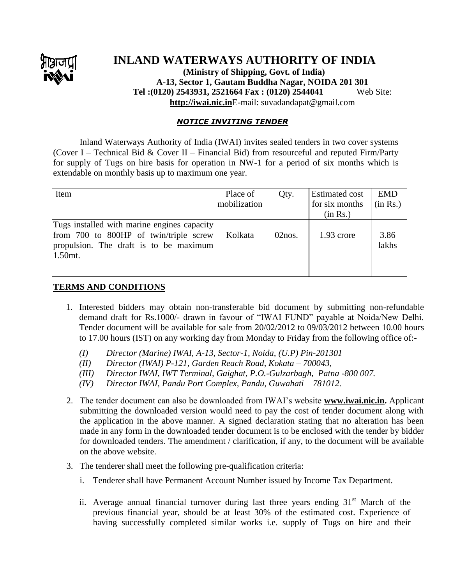

# **INLAND WATERWAYS AUTHORITY OF INDIA**

**(Ministry of Shipping, Govt. of India) A-13, Sector 1, Gautam Buddha Nagar, NOIDA 201 301 Tel :(0120) 2543931, 2521664 Fax : (0120) 2544041** Web Site: **[http://iwai.nic.in](http://iwai.nic.in/)**E-mail: suvadandapat@gmail.com

#### *NOTICE INVITING TENDER*

Inland Waterways Authority of India (IWAI) invites sealed tenders in two cover systems (Cover I – Technical Bid & Cover II – Financial Bid) from resourceful and reputed Firm/Party for supply of Tugs on hire basis for operation in NW-1 for a period of six months which is extendable on monthly basis up to maximum one year.

| Item                                                                                                                                          | Place of<br>mobilization | Qty.      | <b>Estimated cost</b><br>for six months<br>(in Rs.) | <b>EMD</b><br>(in Rs.) |
|-----------------------------------------------------------------------------------------------------------------------------------------------|--------------------------|-----------|-----------------------------------------------------|------------------------|
| Tugs installed with marine engines capacity<br>from 700 to 800HP of twin/triple screw<br>propulsion. The draft is to be maximum<br>$1.50$ mt. | Kolkata                  | $02$ nos. | $1.93$ crore                                        | 3.86<br>lakhs          |

#### **TERMS AND CONDITIONS**

- 1. Interested bidders may obtain non-transferable bid document by submitting non-refundable demand draft for Rs.1000/- drawn in favour of "IWAI FUND" payable at Noida/New Delhi. Tender document will be available for sale from 20/02/2012 to 09/03/2012 between 10.00 hours to 17.00 hours (IST) on any working day from Monday to Friday from the following office of:-
	- *(I) Director (Marine) IWAI, A-13, Sector-1, Noida, (U.P) Pin-201301*
	- *(II) Director (IWAI) P-121, Garden Reach Road, Kokata – 700043,*
	- *(III) Director IWAI, IWT Terminal, Gaighat, P.O.-Gulzarbagh, Patna -800 007.*
	- *(IV) Director IWAI, Pandu Port Complex, Pandu, Guwahati – 781012.*
- 2. The tender document can also be downloaded from IWAI's website **[www.iwai.nic.in.](http://www.iwai.nic.in/)** Applicant submitting the downloaded version would need to pay the cost of tender document along with the application in the above manner. A signed declaration stating that no alteration has been made in any form in the downloaded tender document is to be enclosed with the tender by bidder for downloaded tenders. The amendment / clarification, if any, to the document will be available on the above website.
- 3. The tenderer shall meet the following pre-qualification criteria:
	- i. Tenderer shall have Permanent Account Number issued by Income Tax Department.
	- ii. Average annual financial turnover during last three years ending  $31<sup>st</sup>$  March of the previous financial year, should be at least 30% of the estimated cost. Experience of having successfully completed similar works i.e. supply of Tugs on hire and their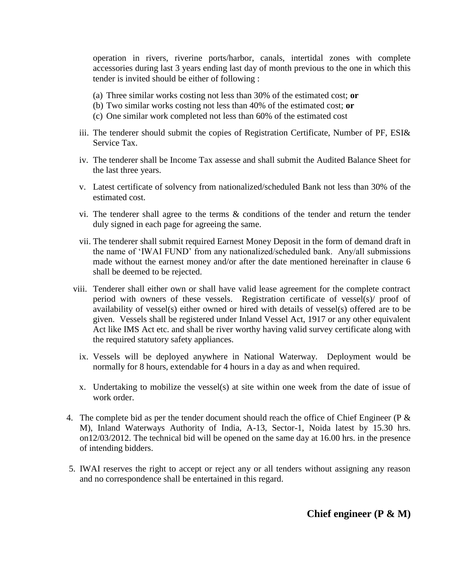operation in rivers, riverine ports/harbor, canals, intertidal zones with complete accessories during last 3 years ending last day of month previous to the one in which this tender is invited should be either of following :

- (a) Three similar works costing not less than 30% of the estimated cost; **or**
- (b) Two similar works costing not less than 40% of the estimated cost; **or**
- (c) One similar work completed not less than 60% of the estimated cost
- iii. The tenderer should submit the copies of Registration Certificate, Number of PF, ESI& Service Tax.
- iv. The tenderer shall be Income Tax assesse and shall submit the Audited Balance Sheet for the last three years.
- v. Latest certificate of solvency from nationalized/scheduled Bank not less than 30% of the estimated cost.
- vi. The tenderer shall agree to the terms & conditions of the tender and return the tender duly signed in each page for agreeing the same.
- vii. The tenderer shall submit required Earnest Money Deposit in the form of demand draft in the name of 'IWAI FUND' from any nationalized/scheduled bank. Any/all submissions made without the earnest money and/or after the date mentioned hereinafter in clause 6 shall be deemed to be rejected.
- viii. Tenderer shall either own or shall have valid lease agreement for the complete contract period with owners of these vessels. Registration certificate of vessel(s)/ proof of availability of vessel(s) either owned or hired with details of vessel(s) offered are to be given. Vessels shall be registered under Inland Vessel Act, 1917 or any other equivalent Act like IMS Act etc. and shall be river worthy having valid survey certificate along with the required statutory safety appliances.
	- ix. Vessels will be deployed anywhere in National Waterway. Deployment would be normally for 8 hours, extendable for 4 hours in a day as and when required.
	- x. Undertaking to mobilize the vessel(s) at site within one week from the date of issue of work order.
- 4. The complete bid as per the tender document should reach the office of Chief Engineer (P  $\&$ M), Inland Waterways Authority of India, A-13, Sector-1, Noida latest by 15.30 hrs. on12/03/2012. The technical bid will be opened on the same day at 16.00 hrs. in the presence of intending bidders.
- 5. IWAI reserves the right to accept or reject any or all tenders without assigning any reason and no correspondence shall be entertained in this regard.

**Chief engineer (P & M)**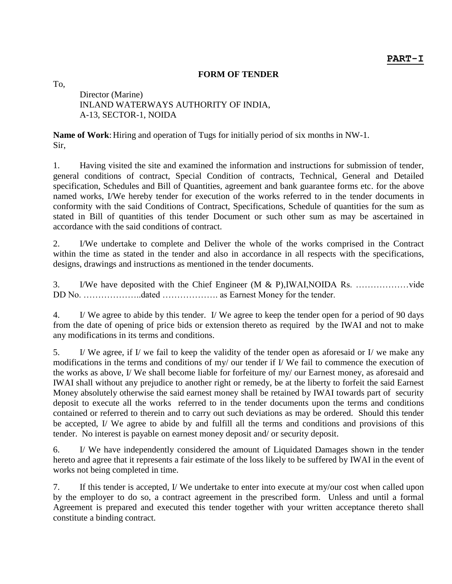#### **FORM OF TENDER**

To,

Director (Marine) INLAND WATERWAYS AUTHORITY OF INDIA, A-13, SECTOR-1, NOIDA

**Name of Work:** Hiring and operation of Tugs for initially period of six months in NW-1. Sir,

1. Having visited the site and examined the information and instructions for submission of tender, general conditions of contract, Special Condition of contracts, Technical, General and Detailed specification, Schedules and Bill of Quantities, agreement and bank guarantee forms etc. for the above named works, I/We hereby tender for execution of the works referred to in the tender documents in conformity with the said Conditions of Contract, Specifications, Schedule of quantities for the sum as stated in Bill of quantities of this tender Document or such other sum as may be ascertained in accordance with the said conditions of contract.

2. I/We undertake to complete and Deliver the whole of the works comprised in the Contract within the time as stated in the tender and also in accordance in all respects with the specifications, designs, drawings and instructions as mentioned in the tender documents.

3. I/We have deposited with the Chief Engineer (M & P),IWAI,NOIDA Rs. ………………vide DD No. ………………..dated ………………. as Earnest Money for the tender.

4. I/ We agree to abide by this tender. I/ We agree to keep the tender open for a period of 90 days from the date of opening of price bids or extension thereto as required by the IWAI and not to make any modifications in its terms and conditions.

5. I/ We agree, if I/ we fail to keep the validity of the tender open as aforesaid or I/ we make any modifications in the terms and conditions of my/ our tender if I/ We fail to commence the execution of the works as above, I/ We shall become liable for forfeiture of my/ our Earnest money, as aforesaid and IWAI shall without any prejudice to another right or remedy, be at the liberty to forfeit the said Earnest Money absolutely otherwise the said earnest money shall be retained by IWAI towards part of security deposit to execute all the works referred to in the tender documents upon the terms and conditions contained or referred to therein and to carry out such deviations as may be ordered. Should this tender be accepted, I/ We agree to abide by and fulfill all the terms and conditions and provisions of this tender. No interest is payable on earnest money deposit and/ or security deposit.

6. I/ We have independently considered the amount of Liquidated Damages shown in the tender hereto and agree that it represents a fair estimate of the loss likely to be suffered by IWAI in the event of works not being completed in time.

7. If this tender is accepted, I/ We undertake to enter into execute at my/our cost when called upon by the employer to do so, a contract agreement in the prescribed form. Unless and until a formal Agreement is prepared and executed this tender together with your written acceptance thereto shall constitute a binding contract.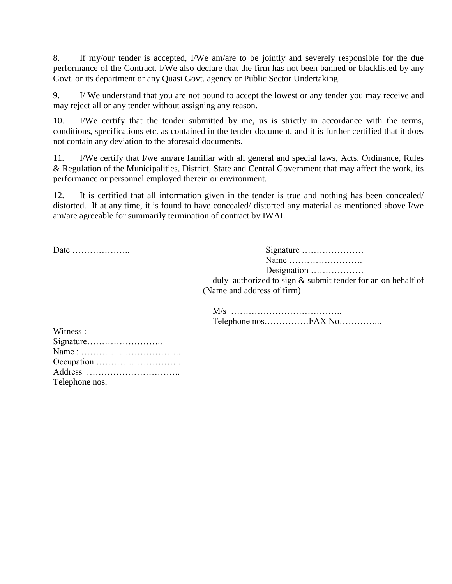8. If my/our tender is accepted, I/We am/are to be jointly and severely responsible for the due performance of the Contract. I/We also declare that the firm has not been banned or blacklisted by any Govt. or its department or any Quasi Govt. agency or Public Sector Undertaking.

9. I/ We understand that you are not bound to accept the lowest or any tender you may receive and may reject all or any tender without assigning any reason.

10. I/We certify that the tender submitted by me, us is strictly in accordance with the terms, conditions, specifications etc. as contained in the tender document, and it is further certified that it does not contain any deviation to the aforesaid documents.

11. I/We certify that I/we am/are familiar with all general and special laws, Acts, Ordinance, Rules & Regulation of the Municipalities, District, State and Central Government that may affect the work, its performance or personnel employed therein or environment.

12. It is certified that all information given in the tender is true and nothing has been concealed/ distorted. If at any time, it is found to have concealed/ distorted any material as mentioned above I/we am/are agreeable for summarily termination of contract by IWAI.

Date ……………….. Signature ………………… Name ……………………. Designation ………………

> duly authorized to sign & submit tender for an on behalf of (Name and address of firm)

M/s ……………………………….. Telephone nos……………FAX No…………...

| Witness:       |
|----------------|
|                |
|                |
|                |
|                |
| Telephone nos. |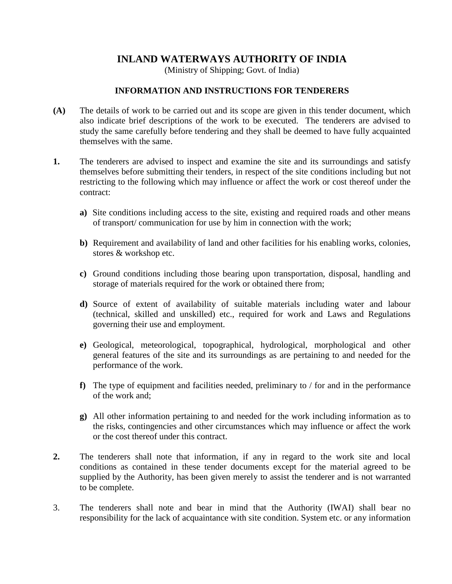## **INLAND WATERWAYS AUTHORITY OF INDIA**

(Ministry of Shipping; Govt. of India)

#### **INFORMATION AND INSTRUCTIONS FOR TENDERERS**

- **(A)** The details of work to be carried out and its scope are given in this tender document, which also indicate brief descriptions of the work to be executed. The tenderers are advised to study the same carefully before tendering and they shall be deemed to have fully acquainted themselves with the same.
- **1.** The tenderers are advised to inspect and examine the site and its surroundings and satisfy themselves before submitting their tenders, in respect of the site conditions including but not restricting to the following which may influence or affect the work or cost thereof under the contract:
	- **a)** Site conditions including access to the site, existing and required roads and other means of transport/ communication for use by him in connection with the work;
	- **b)** Requirement and availability of land and other facilities for his enabling works, colonies, stores & workshop etc.
	- **c)** Ground conditions including those bearing upon transportation, disposal, handling and storage of materials required for the work or obtained there from;
	- **d)** Source of extent of availability of suitable materials including water and labour (technical, skilled and unskilled) etc., required for work and Laws and Regulations governing their use and employment.
	- **e)** Geological, meteorological, topographical, hydrological, morphological and other general features of the site and its surroundings as are pertaining to and needed for the performance of the work.
	- **f)** The type of equipment and facilities needed, preliminary to / for and in the performance of the work and;
	- **g)** All other information pertaining to and needed for the work including information as to the risks, contingencies and other circumstances which may influence or affect the work or the cost thereof under this contract.
- **2.** The tenderers shall note that information, if any in regard to the work site and local conditions as contained in these tender documents except for the material agreed to be supplied by the Authority, has been given merely to assist the tenderer and is not warranted to be complete.
- 3. The tenderers shall note and bear in mind that the Authority (IWAI) shall bear no responsibility for the lack of acquaintance with site condition. System etc. or any information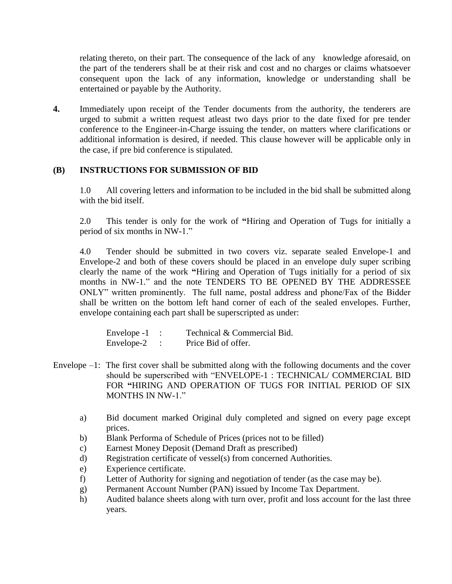relating thereto, on their part. The consequence of the lack of any knowledge aforesaid, on the part of the tenderers shall be at their risk and cost and no charges or claims whatsoever consequent upon the lack of any information, knowledge or understanding shall be entertained or payable by the Authority.

**4.** Immediately upon receipt of the Tender documents from the authority, the tenderers are urged to submit a written request atleast two days prior to the date fixed for pre tender conference to the Engineer-in-Charge issuing the tender, on matters where clarifications or additional information is desired, if needed. This clause however will be applicable only in the case, if pre bid conference is stipulated.

### **(B) INSTRUCTIONS FOR SUBMISSION OF BID**

1.0 All covering letters and information to be included in the bid shall be submitted along with the bid itself.

2.0 This tender is only for the work of **"**Hiring and Operation of Tugs for initially a period of six months in NW-1."

4.0 Tender should be submitted in two covers viz. separate sealed Envelope-1 and Envelope-2 and both of these covers should be placed in an envelope duly super scribing clearly the name of the work **"**Hiring and Operation of Tugs initially for a period of six months in NW-1." and the note TENDERS TO BE OPENED BY THE ADDRESSEE ONLY‖ written prominently. The full name, postal address and phone/Fax of the Bidder shall be written on the bottom left hand corner of each of the sealed envelopes. Further, envelope containing each part shall be superscripted as under:

| Envelope -1 | Technical & Commercial Bid. |
|-------------|-----------------------------|
| Envelope-2  | Price Bid of offer.         |

- Envelope –1: The first cover shall be submitted along with the following documents and the cover should be superscribed with "ENVELOPE-1 : TECHNICAL/ COMMERCIAL BID FOR **"**HIRING AND OPERATION OF TUGS FOR INITIAL PERIOD OF SIX MONTHS IN NW-1."
	- a) Bid document marked Original duly completed and signed on every page except prices.
	- b) Blank Performa of Schedule of Prices (prices not to be filled)
	- c) Earnest Money Deposit (Demand Draft as prescribed)
	- d) Registration certificate of vessel(s) from concerned Authorities.
	- e) Experience certificate.
	- f) Letter of Authority for signing and negotiation of tender (as the case may be).
	- g) Permanent Account Number (PAN) issued by Income Tax Department.
	- h) Audited balance sheets along with turn over, profit and loss account for the last three years.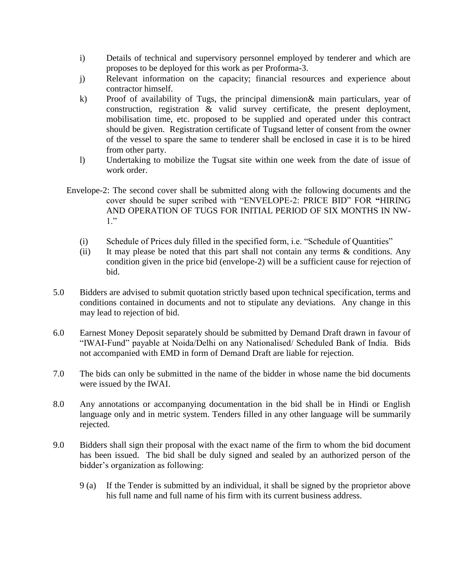- i) Details of technical and supervisory personnel employed by tenderer and which are proposes to be deployed for this work as per Proforma-3.
- j) Relevant information on the capacity; financial resources and experience about contractor himself.
- k) Proof of availability of Tugs, the principal dimension& main particulars, year of construction, registration & valid survey certificate, the present deployment, mobilisation time, etc. proposed to be supplied and operated under this contract should be given. Registration certificate of Tugsand letter of consent from the owner of the vessel to spare the same to tenderer shall be enclosed in case it is to be hired from other party.
- l) Undertaking to mobilize the Tugsat site within one week from the date of issue of work order.
- Envelope-2: The second cover shall be submitted along with the following documents and the cover should be super scribed with "ENVELOPE-2: PRICE BID" FOR "HIRING AND OPERATION OF TUGS FOR INITIAL PERIOD OF SIX MONTHS IN NW- $1.$ "
	- (i) Schedule of Prices duly filled in the specified form, i.e. "Schedule of Quantities"
	- (ii) It may please be noted that this part shall not contain any terms & conditions. Any condition given in the price bid (envelope-2) will be a sufficient cause for rejection of bid.
- 5.0 Bidders are advised to submit quotation strictly based upon technical specification, terms and conditions contained in documents and not to stipulate any deviations. Any change in this may lead to rejection of bid.
- 6.0 Earnest Money Deposit separately should be submitted by Demand Draft drawn in favour of "IWAI-Fund" payable at Noida/Delhi on any Nationalised/ Scheduled Bank of India. Bids not accompanied with EMD in form of Demand Draft are liable for rejection.
- 7.0 The bids can only be submitted in the name of the bidder in whose name the bid documents were issued by the IWAI.
- 8.0 Any annotations or accompanying documentation in the bid shall be in Hindi or English language only and in metric system. Tenders filled in any other language will be summarily rejected.
- 9.0 Bidders shall sign their proposal with the exact name of the firm to whom the bid document has been issued. The bid shall be duly signed and sealed by an authorized person of the bidder's organization as following:
	- 9 (a) If the Tender is submitted by an individual, it shall be signed by the proprietor above his full name and full name of his firm with its current business address.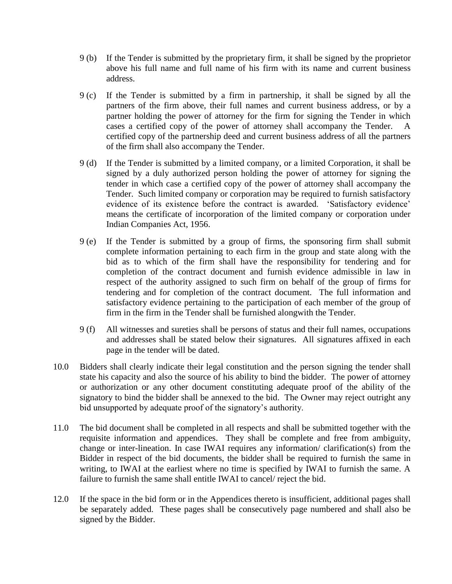- 9 (b) If the Tender is submitted by the proprietary firm, it shall be signed by the proprietor above his full name and full name of his firm with its name and current business address.
- 9 (c) If the Tender is submitted by a firm in partnership, it shall be signed by all the partners of the firm above, their full names and current business address, or by a partner holding the power of attorney for the firm for signing the Tender in which cases a certified copy of the power of attorney shall accompany the Tender. certified copy of the partnership deed and current business address of all the partners of the firm shall also accompany the Tender.
- 9 (d) If the Tender is submitted by a limited company, or a limited Corporation, it shall be signed by a duly authorized person holding the power of attorney for signing the tender in which case a certified copy of the power of attorney shall accompany the Tender. Such limited company or corporation may be required to furnish satisfactory evidence of its existence before the contract is awarded. 'Satisfactory evidence' means the certificate of incorporation of the limited company or corporation under Indian Companies Act, 1956.
- 9 (e) If the Tender is submitted by a group of firms, the sponsoring firm shall submit complete information pertaining to each firm in the group and state along with the bid as to which of the firm shall have the responsibility for tendering and for completion of the contract document and furnish evidence admissible in law in respect of the authority assigned to such firm on behalf of the group of firms for tendering and for completion of the contract document. The full information and satisfactory evidence pertaining to the participation of each member of the group of firm in the firm in the Tender shall be furnished alongwith the Tender.
- 9 (f) All witnesses and sureties shall be persons of status and their full names, occupations and addresses shall be stated below their signatures. All signatures affixed in each page in the tender will be dated.
- 10.0 Bidders shall clearly indicate their legal constitution and the person signing the tender shall state his capacity and also the source of his ability to bind the bidder. The power of attorney or authorization or any other document constituting adequate proof of the ability of the signatory to bind the bidder shall be annexed to the bid. The Owner may reject outright any bid unsupported by adequate proof of the signatory's authority.
- 11.0 The bid document shall be completed in all respects and shall be submitted together with the requisite information and appendices. They shall be complete and free from ambiguity, change or inter-lineation. In case IWAI requires any information/ clarification(s) from the Bidder in respect of the bid documents, the bidder shall be required to furnish the same in writing, to IWAI at the earliest where no time is specified by IWAI to furnish the same. A failure to furnish the same shall entitle IWAI to cancel/ reject the bid.
- 12.0 If the space in the bid form or in the Appendices thereto is insufficient, additional pages shall be separately added. These pages shall be consecutively page numbered and shall also be signed by the Bidder.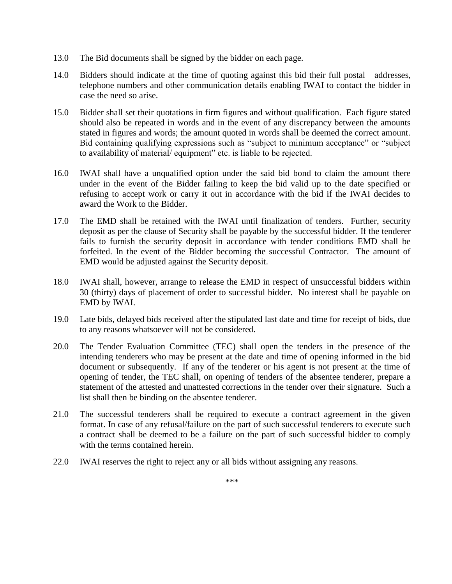- 13.0 The Bid documents shall be signed by the bidder on each page.
- 14.0 Bidders should indicate at the time of quoting against this bid their full postal addresses, telephone numbers and other communication details enabling IWAI to contact the bidder in case the need so arise.
- 15.0 Bidder shall set their quotations in firm figures and without qualification. Each figure stated should also be repeated in words and in the event of any discrepancy between the amounts stated in figures and words; the amount quoted in words shall be deemed the correct amount. Bid containing qualifying expressions such as "subject to minimum acceptance" or "subject" to availability of material/ equipment" etc. is liable to be rejected.
- 16.0 IWAI shall have a unqualified option under the said bid bond to claim the amount there under in the event of the Bidder failing to keep the bid valid up to the date specified or refusing to accept work or carry it out in accordance with the bid if the IWAI decides to award the Work to the Bidder.
- 17.0 The EMD shall be retained with the IWAI until finalization of tenders. Further, security deposit as per the clause of Security shall be payable by the successful bidder. If the tenderer fails to furnish the security deposit in accordance with tender conditions EMD shall be forfeited. In the event of the Bidder becoming the successful Contractor. The amount of EMD would be adjusted against the Security deposit.
- 18.0 IWAI shall, however, arrange to release the EMD in respect of unsuccessful bidders within 30 (thirty) days of placement of order to successful bidder. No interest shall be payable on EMD by IWAI.
- 19.0 Late bids, delayed bids received after the stipulated last date and time for receipt of bids, due to any reasons whatsoever will not be considered.
- 20.0 The Tender Evaluation Committee (TEC) shall open the tenders in the presence of the intending tenderers who may be present at the date and time of opening informed in the bid document or subsequently. If any of the tenderer or his agent is not present at the time of opening of tender, the TEC shall, on opening of tenders of the absentee tenderer, prepare a statement of the attested and unattested corrections in the tender over their signature. Such a list shall then be binding on the absentee tenderer.
- 21.0 The successful tenderers shall be required to execute a contract agreement in the given format. In case of any refusal/failure on the part of such successful tenderers to execute such a contract shall be deemed to be a failure on the part of such successful bidder to comply with the terms contained herein.
- 22.0 IWAI reserves the right to reject any or all bids without assigning any reasons.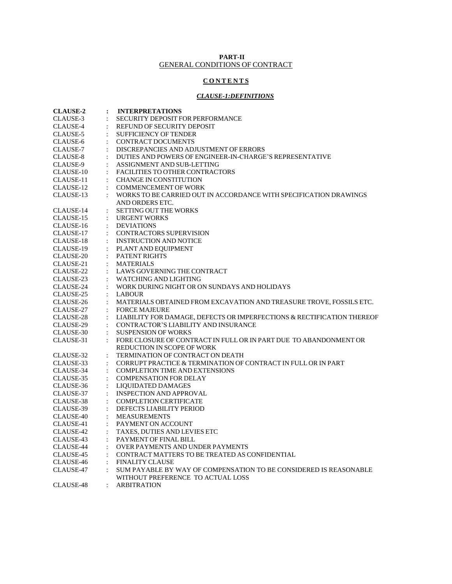#### **PART-II** GENERAL CONDITIONS OF CONTRACT

#### **C O N T E N T S**

#### *CLAUSE-1:DEFINITIONS*

| <b>CLAUSE-2</b> | :                    | <b>INTERPRETATIONS</b>                                                 |
|-----------------|----------------------|------------------------------------------------------------------------|
| CLAUSE-3        |                      | <b>SECURITY DEPOSIT FOR PERFORMANCE</b>                                |
| CLAUSE-4        |                      | REFUND OF SECURITY DEPOSIT                                             |
| CLAUSE-5        |                      | <b>SUFFICIENCY OF TENDER</b>                                           |
| CLAUSE-6        |                      | <b>CONTRACT DOCUMENTS</b>                                              |
| CLAUSE-7        |                      | DISCREPANCIES AND ADJUSTMENT OF ERRORS                                 |
| CLAUSE-8        |                      | DUTIES AND POWERS OF ENGINEER-IN-CHARGE'S REPRESENTATIVE               |
| CLAUSE-9        |                      | ASSIGNMENT AND SUB-LETTING                                             |
| CLAUSE-10       | $\ddot{\cdot}$       | <b>FACILITIES TO OTHER CONTRACTORS</b>                                 |
| CLAUSE-11       |                      | <b>CHANGE IN CONSTITUTION</b>                                          |
| CLAUSE-12       |                      | <b>COMMENCEMENT OF WORK</b>                                            |
| CLAUSE-13       | $\ddot{\cdot}$       | WORKS TO BE CARRIED OUT IN ACCORDANCE WITH SPECIFICATION DRAWINGS      |
|                 |                      | AND ORDERS ETC.                                                        |
| CLAUSE-14       |                      | <b>SETTING OUT THE WORKS</b>                                           |
| CLAUSE-15       | $\ddot{\cdot}$       | <b>URGENT WORKS</b>                                                    |
| CLAUSE-16       |                      | <b>DEVIATIONS</b>                                                      |
| CLAUSE-17       |                      | <b>CONTRACTORS SUPERVISION</b>                                         |
| CLAUSE-18       | $\ddot{\cdot}$       | <b>INSTRUCTION AND NOTICE</b>                                          |
| CLAUSE-19       |                      | PLANT AND EQUIPMENT                                                    |
| CLAUSE-20       |                      | <b>PATENT RIGHTS</b>                                                   |
| CLAUSE-21       |                      | <b>MATERIALS</b>                                                       |
| CLAUSE-22       |                      | LAWS GOVERNING THE CONTRACT                                            |
| CLAUSE-23       |                      | <b>WATCHING AND LIGHTING</b>                                           |
| CLAUSE-24       |                      | WORK DURING NIGHT OR ON SUNDAYS AND HOLIDAYS                           |
| CLAUSE-25       |                      | <b>LABOUR</b>                                                          |
| CLAUSE-26       |                      | MATERIALS OBTAINED FROM EXCAVATION AND TREASURE TROVE, FOSSILS ETC.    |
| CLAUSE-27       |                      | <b>FORCE MAJEURE</b>                                                   |
| CLAUSE-28       |                      | LIABILITY FOR DAMAGE, DEFECTS OR IMPERFECTIONS & RECTIFICATION THEREOF |
| CLAUSE-29       |                      | CONTRACTOR'S LIABILITY AND INSURANCE                                   |
| CLAUSE-30       | $\ddot{\cdot}$       | <b>SUSPENSION OF WORKS</b>                                             |
| CLAUSE-31       |                      | FORE CLOSURE OF CONTRACT IN FULL OR IN PART DUE TO ABANDONMENT OR      |
|                 |                      | REDUCTION IN SCOPE OF WORK                                             |
| CLAUSE-32       | $\ddot{\cdot}$       | TERMINATION OF CONTRACT ON DEATH                                       |
| CLAUSE-33       |                      | CORRUPT PRACTICE & TERMINATION OF CONTRACT IN FULL OR IN PART          |
| CLAUSE-34       |                      | <b>COMPLETION TIME AND EXTENSIONS</b>                                  |
| CLAUSE-35       |                      | <b>COMPENSATION FOR DELAY</b>                                          |
| CLAUSE-36       | $\ddot{\cdot}$       | LIQUIDATED DAMAGES                                                     |
| CLAUSE-37       | $\ddot{\cdot}$       | <b>INSPECTION AND APPROVAL</b>                                         |
| CLAUSE-38       | $\ddot{\cdot}$       | <b>COMPLETION CERTIFICATE</b>                                          |
| CLAUSE-39       |                      | DEFECTS LIABILITY PERIOD                                               |
| CLAUSE-40       | $\ddot{\phantom{a}}$ | <b>MEASUREMENTS</b>                                                    |
| CLAUSE-41       |                      | PAYMENT ON ACCOUNT                                                     |
| CLAUSE-42       | $\ddot{\cdot}$       | TAXES, DUTIES AND LEVIES ETC                                           |
| CLAUSE-43       | $\ddot{\cdot}$       | PAYMENT OF FINAL BILL                                                  |
| CLAUSE-44       |                      | <b>OVER PAYMENTS AND UNDER PAYMENTS</b>                                |
| CLAUSE-45       | $\ddot{\cdot}$       | CONTRACT MATTERS TO BE TREATED AS CONFIDENTIAL                         |
| CLAUSE-46       | $\ddot{\cdot}$       | <b>FINALITY CLAUSE</b>                                                 |
| CLAUSE-47       |                      | SUM PAYABLE BY WAY OF COMPENSATION TO BE CONSIDERED IS REASONABLE      |
|                 |                      | WITHOUT PREFERENCE TO ACTUAL LOSS                                      |
| CLAUSE-48       |                      | ARBITRATION                                                            |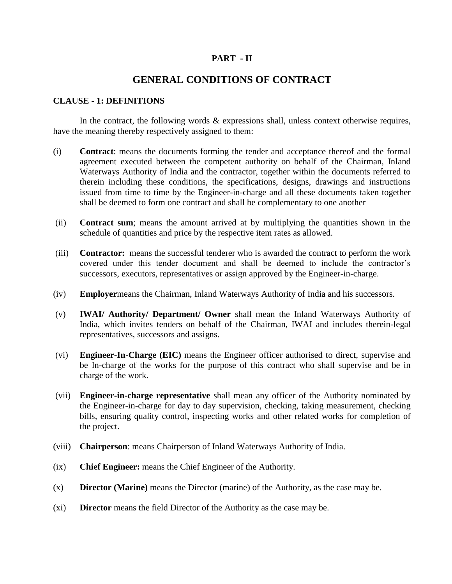#### **PART - II**

### **GENERAL CONDITIONS OF CONTRACT**

#### **CLAUSE - 1: DEFINITIONS**

In the contract, the following words  $\&$  expressions shall, unless context otherwise requires, have the meaning thereby respectively assigned to them:

- (i) **Contract**: means the documents forming the tender and acceptance thereof and the formal agreement executed between the competent authority on behalf of the Chairman, Inland Waterways Authority of India and the contractor, together within the documents referred to therein including these conditions, the specifications, designs, drawings and instructions issued from time to time by the Engineer-in-charge and all these documents taken together shall be deemed to form one contract and shall be complementary to one another
- (ii) **Contract sum**; means the amount arrived at by multiplying the quantities shown in the schedule of quantities and price by the respective item rates as allowed.
- (iii) **Contractor:** means the successful tenderer who is awarded the contract to perform the work covered under this tender document and shall be deemed to include the contractor's successors, executors, representatives or assign approved by the Engineer-in-charge.
- (iv) **Employer**means the Chairman, Inland Waterways Authority of India and his successors.
- (v) **IWAI/ Authority/ Department/ Owner** shall mean the Inland Waterways Authority of India, which invites tenders on behalf of the Chairman, IWAI and includes therein-legal representatives, successors and assigns.
- (vi) **Engineer-In-Charge (EIC)** means the Engineer officer authorised to direct, supervise and be In-charge of the works for the purpose of this contract who shall supervise and be in charge of the work.
- (vii) **Engineer-in-charge representative** shall mean any officer of the Authority nominated by the Engineer-in-charge for day to day supervision, checking, taking measurement, checking bills, ensuring quality control, inspecting works and other related works for completion of the project.
- (viii) **Chairperson**: means Chairperson of Inland Waterways Authority of India.
- (ix) **Chief Engineer:** means the Chief Engineer of the Authority.
- (x) **Director (Marine)** means the Director (marine) of the Authority, as the case may be.
- (xi) **Director** means the field Director of the Authority as the case may be.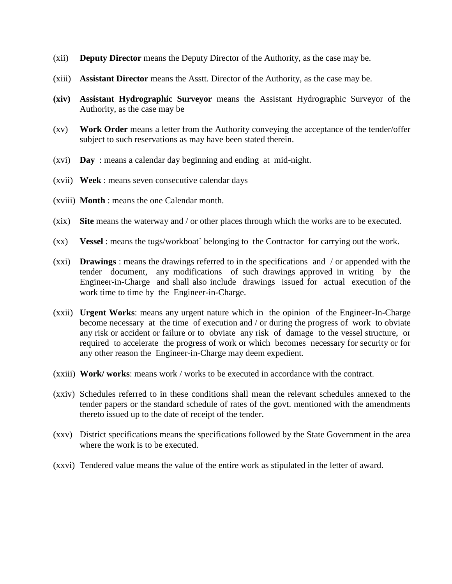- (xii) **Deputy Director** means the Deputy Director of the Authority, as the case may be.
- (xiii) **Assistant Director** means the Asstt. Director of the Authority, as the case may be.
- **(xiv) Assistant Hydrographic Surveyor** means the Assistant Hydrographic Surveyor of the Authority, as the case may be
- (xv) **Work Order** means a letter from the Authority conveying the acceptance of the tender/offer subject to such reservations as may have been stated therein.
- (xvi) **Day** : means a calendar day beginning and ending at mid-night.
- (xvii) **Week** : means seven consecutive calendar days
- (xviii) **Month** : means the one Calendar month.
- (xix) **Site** means the waterway and / or other places through which the works are to be executed.
- (xx) **Vessel** : means the tugs/workboat` belonging to the Contractor for carrying out the work.
- (xxi) **Drawings** : means the drawings referred to in the specifications and / or appended with the tender document, any modifications of such drawings approved in writing by the Engineer-in-Charge and shall also include drawings issued for actual execution of the work time to time by the Engineer-in-Charge.
- (xxii) **Urgent Works**: means any urgent nature which in the opinion of the Engineer-In-Charge become necessary at the time of execution and / or during the progress of work to obviate any risk or accident or failure or to obviate any risk of damage to the vessel structure, or required to accelerate the progress of work or which becomes necessary for security or for any other reason the Engineer-in-Charge may deem expedient.
- (xxiii) **Work/ works**: means work / works to be executed in accordance with the contract.
- (xxiv) Schedules referred to in these conditions shall mean the relevant schedules annexed to the tender papers or the standard schedule of rates of the govt. mentioned with the amendments thereto issued up to the date of receipt of the tender.
- (xxv) District specifications means the specifications followed by the State Government in the area where the work is to be executed.
- (xxvi) Tendered value means the value of the entire work as stipulated in the letter of award.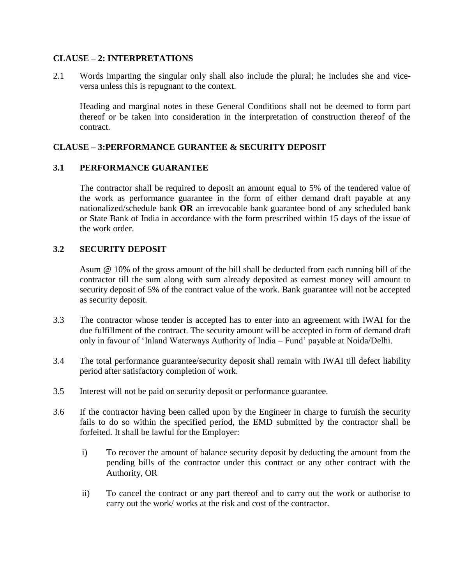#### **CLAUSE – 2: INTERPRETATIONS**

2.1 Words imparting the singular only shall also include the plural; he includes she and viceversa unless this is repugnant to the context.

Heading and marginal notes in these General Conditions shall not be deemed to form part thereof or be taken into consideration in the interpretation of construction thereof of the contract.

#### **CLAUSE – 3:PERFORMANCE GURANTEE & SECURITY DEPOSIT**

#### **3.1 PERFORMANCE GUARANTEE**

The contractor shall be required to deposit an amount equal to 5% of the tendered value of the work as performance guarantee in the form of either demand draft payable at any nationalized/schedule bank **OR** an irrevocable bank guarantee bond of any scheduled bank or State Bank of India in accordance with the form prescribed within 15 days of the issue of the work order.

#### **3.2 SECURITY DEPOSIT**

Asum @ 10% of the gross amount of the bill shall be deducted from each running bill of the contractor till the sum along with sum already deposited as earnest money will amount to security deposit of 5% of the contract value of the work. Bank guarantee will not be accepted as security deposit.

- 3.3 The contractor whose tender is accepted has to enter into an agreement with IWAI for the due fulfillment of the contract. The security amount will be accepted in form of demand draft only in favour of 'Inland Waterways Authority of India – Fund' payable at Noida/Delhi.
- 3.4 The total performance guarantee/security deposit shall remain with IWAI till defect liability period after satisfactory completion of work.
- 3.5 Interest will not be paid on security deposit or performance guarantee.
- 3.6 If the contractor having been called upon by the Engineer in charge to furnish the security fails to do so within the specified period, the EMD submitted by the contractor shall be forfeited. It shall be lawful for the Employer:
	- i) To recover the amount of balance security deposit by deducting the amount from the pending bills of the contractor under this contract or any other contract with the Authority, OR
	- ii) To cancel the contract or any part thereof and to carry out the work or authorise to carry out the work/ works at the risk and cost of the contractor.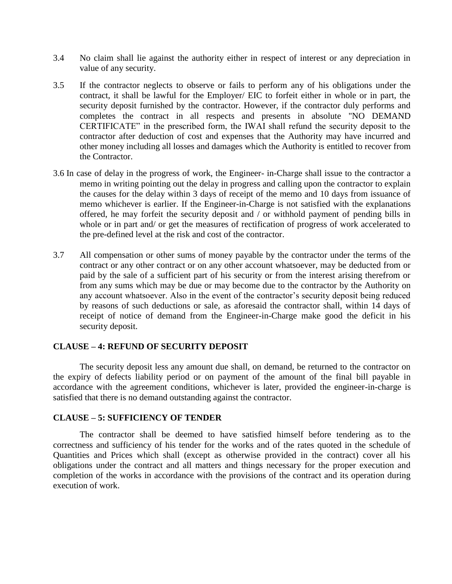- 3.4 No claim shall lie against the authority either in respect of interest or any depreciation in value of any security.
- 3.5 If the contractor neglects to observe or fails to perform any of his obligations under the contract, it shall be lawful for the Employer/ EIC to forfeit either in whole or in part, the security deposit furnished by the contractor. However, if the contractor duly performs and completes the contract in all respects and presents in absolute "NO DEMAND CERTIFICATE" in the prescribed form, the IWAI shall refund the security deposit to the contractor after deduction of cost and expenses that the Authority may have incurred and other money including all losses and damages which the Authority is entitled to recover from the Contractor.
- 3.6 In case of delay in the progress of work, the Engineer- in-Charge shall issue to the contractor a memo in writing pointing out the delay in progress and calling upon the contractor to explain the causes for the delay within 3 days of receipt of the memo and 10 days from issuance of memo whichever is earlier. If the Engineer-in-Charge is not satisfied with the explanations offered, he may forfeit the security deposit and / or withhold payment of pending bills in whole or in part and/ or get the measures of rectification of progress of work accelerated to the pre-defined level at the risk and cost of the contractor.
- 3.7 All compensation or other sums of money payable by the contractor under the terms of the contract or any other contract or on any other account whatsoever, may be deducted from or paid by the sale of a sufficient part of his security or from the interest arising therefrom or from any sums which may be due or may become due to the contractor by the Authority on any account whatsoever. Also in the event of the contractor's security deposit being reduced by reasons of such deductions or sale, as aforesaid the contractor shall, within 14 days of receipt of notice of demand from the Engineer-in-Charge make good the deficit in his security deposit.

#### **CLAUSE – 4: REFUND OF SECURITY DEPOSIT**

The security deposit less any amount due shall, on demand, be returned to the contractor on the expiry of defects liability period or on payment of the amount of the final bill payable in accordance with the agreement conditions, whichever is later, provided the engineer-in-charge is satisfied that there is no demand outstanding against the contractor.

#### **CLAUSE – 5: SUFFICIENCY OF TENDER**

The contractor shall be deemed to have satisfied himself before tendering as to the correctness and sufficiency of his tender for the works and of the rates quoted in the schedule of Quantities and Prices which shall (except as otherwise provided in the contract) cover all his obligations under the contract and all matters and things necessary for the proper execution and completion of the works in accordance with the provisions of the contract and its operation during execution of work.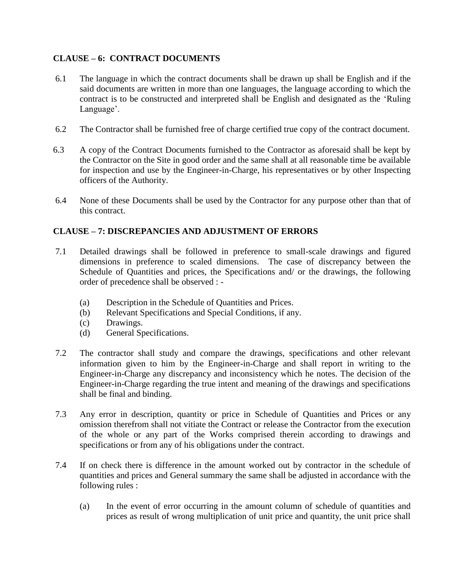## **CLAUSE – 6: CONTRACT DOCUMENTS**

- 6.1 The language in which the contract documents shall be drawn up shall be English and if the said documents are written in more than one languages, the language according to which the contract is to be constructed and interpreted shall be English and designated as the 'Ruling' Language'.
- 6.2 The Contractor shall be furnished free of charge certified true copy of the contract document.
- 6.3 A copy of the Contract Documents furnished to the Contractor as aforesaid shall be kept by the Contractor on the Site in good order and the same shall at all reasonable time be available for inspection and use by the Engineer-in-Charge, his representatives or by other Inspecting officers of the Authority.
- 6.4 None of these Documents shall be used by the Contractor for any purpose other than that of this contract.

### **CLAUSE – 7: DISCREPANCIES AND ADJUSTMENT OF ERRORS**

- 7.1 Detailed drawings shall be followed in preference to small-scale drawings and figured dimensions in preference to scaled dimensions. The case of discrepancy between the Schedule of Quantities and prices, the Specifications and/ or the drawings, the following order of precedence shall be observed : -
	- (a) Description in the Schedule of Quantities and Prices.
	- (b) Relevant Specifications and Special Conditions, if any.
	- (c) Drawings.
	- (d) General Specifications.
- 7.2 The contractor shall study and compare the drawings, specifications and other relevant information given to him by the Engineer-in-Charge and shall report in writing to the Engineer-in-Charge any discrepancy and inconsistency which he notes. The decision of the Engineer-in-Charge regarding the true intent and meaning of the drawings and specifications shall be final and binding.
- 7.3 Any error in description, quantity or price in Schedule of Quantities and Prices or any omission therefrom shall not vitiate the Contract or release the Contractor from the execution of the whole or any part of the Works comprised therein according to drawings and specifications or from any of his obligations under the contract.
- 7.4 If on check there is difference in the amount worked out by contractor in the schedule of quantities and prices and General summary the same shall be adjusted in accordance with the following rules :
	- (a) In the event of error occurring in the amount column of schedule of quantities and prices as result of wrong multiplication of unit price and quantity, the unit price shall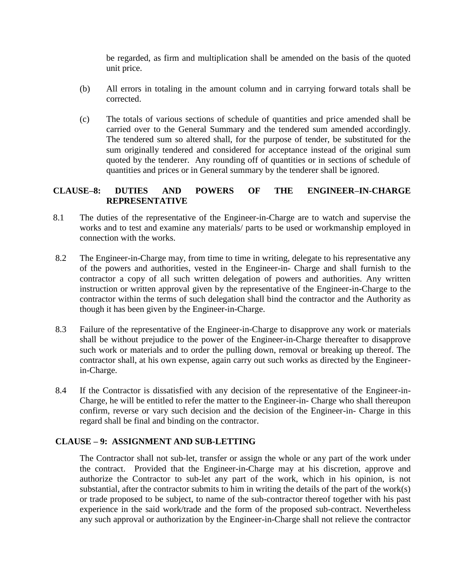be regarded, as firm and multiplication shall be amended on the basis of the quoted unit price.

- (b) All errors in totaling in the amount column and in carrying forward totals shall be corrected.
- (c) The totals of various sections of schedule of quantities and price amended shall be carried over to the General Summary and the tendered sum amended accordingly. The tendered sum so altered shall, for the purpose of tender, be substituted for the sum originally tendered and considered for acceptance instead of the original sum quoted by the tenderer. Any rounding off of quantities or in sections of schedule of quantities and prices or in General summary by the tenderer shall be ignored.

### **CLAUSE–8: DUTIES AND POWERS OF THE ENGINEER–IN-CHARGE REPRESENTATIVE**

- 8.1 The duties of the representative of the Engineer-in-Charge are to watch and supervise the works and to test and examine any materials/ parts to be used or workmanship employed in connection with the works.
- 8.2 The Engineer-in-Charge may, from time to time in writing, delegate to his representative any of the powers and authorities, vested in the Engineer-in- Charge and shall furnish to the contractor a copy of all such written delegation of powers and authorities. Any written instruction or written approval given by the representative of the Engineer-in-Charge to the contractor within the terms of such delegation shall bind the contractor and the Authority as though it has been given by the Engineer-in-Charge.
- 8.3 Failure of the representative of the Engineer-in-Charge to disapprove any work or materials shall be without prejudice to the power of the Engineer-in-Charge thereafter to disapprove such work or materials and to order the pulling down, removal or breaking up thereof. The contractor shall, at his own expense, again carry out such works as directed by the Engineerin-Charge.
- 8.4 If the Contractor is dissatisfied with any decision of the representative of the Engineer-in-Charge, he will be entitled to refer the matter to the Engineer-in- Charge who shall thereupon confirm, reverse or vary such decision and the decision of the Engineer-in- Charge in this regard shall be final and binding on the contractor.

### **CLAUSE – 9: ASSIGNMENT AND SUB-LETTING**

The Contractor shall not sub-let, transfer or assign the whole or any part of the work under the contract. Provided that the Engineer-in-Charge may at his discretion, approve and authorize the Contractor to sub-let any part of the work, which in his opinion, is not substantial, after the contractor submits to him in writing the details of the part of the work(s) or trade proposed to be subject, to name of the sub-contractor thereof together with his past experience in the said work/trade and the form of the proposed sub-contract. Nevertheless any such approval or authorization by the Engineer-in-Charge shall not relieve the contractor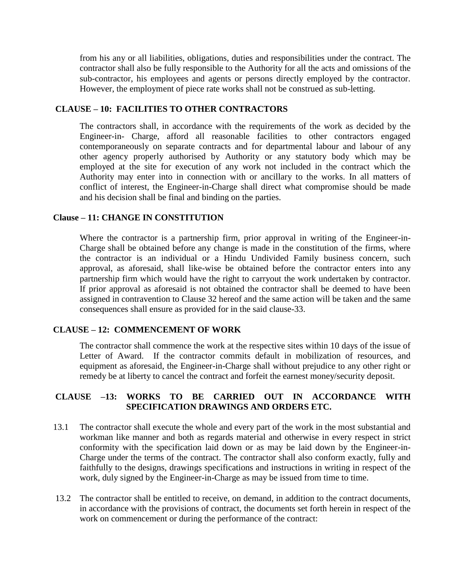from his any or all liabilities, obligations, duties and responsibilities under the contract. The contractor shall also be fully responsible to the Authority for all the acts and omissions of the sub-contractor, his employees and agents or persons directly employed by the contractor. However, the employment of piece rate works shall not be construed as sub-letting.

#### **CLAUSE – 10: FACILITIES TO OTHER CONTRACTORS**

The contractors shall, in accordance with the requirements of the work as decided by the Engineer-in- Charge, afford all reasonable facilities to other contractors engaged contemporaneously on separate contracts and for departmental labour and labour of any other agency properly authorised by Authority or any statutory body which may be employed at the site for execution of any work not included in the contract which the Authority may enter into in connection with or ancillary to the works. In all matters of conflict of interest, the Engineer-in-Charge shall direct what compromise should be made and his decision shall be final and binding on the parties.

#### **Clause – 11: CHANGE IN CONSTITUTION**

Where the contractor is a partnership firm, prior approval in writing of the Engineer-in-Charge shall be obtained before any change is made in the constitution of the firms, where the contractor is an individual or a Hindu Undivided Family business concern, such approval, as aforesaid, shall like-wise be obtained before the contractor enters into any partnership firm which would have the right to carryout the work undertaken by contractor. If prior approval as aforesaid is not obtained the contractor shall be deemed to have been assigned in contravention to Clause 32 hereof and the same action will be taken and the same consequences shall ensure as provided for in the said clause-33.

#### **CLAUSE – 12: COMMENCEMENT OF WORK**

The contractor shall commence the work at the respective sites within 10 days of the issue of Letter of Award. If the contractor commits default in mobilization of resources, and equipment as aforesaid, the Engineer-in-Charge shall without prejudice to any other right or remedy be at liberty to cancel the contract and forfeit the earnest money/security deposit.

### **CLAUSE –13: WORKS TO BE CARRIED OUT IN ACCORDANCE WITH SPECIFICATION DRAWINGS AND ORDERS ETC.**

- 13.1 The contractor shall execute the whole and every part of the work in the most substantial and workman like manner and both as regards material and otherwise in every respect in strict conformity with the specification laid down or as may be laid down by the Engineer-in-Charge under the terms of the contract. The contractor shall also conform exactly, fully and faithfully to the designs, drawings specifications and instructions in writing in respect of the work, duly signed by the Engineer-in-Charge as may be issued from time to time.
- 13.2 The contractor shall be entitled to receive, on demand, in addition to the contract documents, in accordance with the provisions of contract, the documents set forth herein in respect of the work on commencement or during the performance of the contract: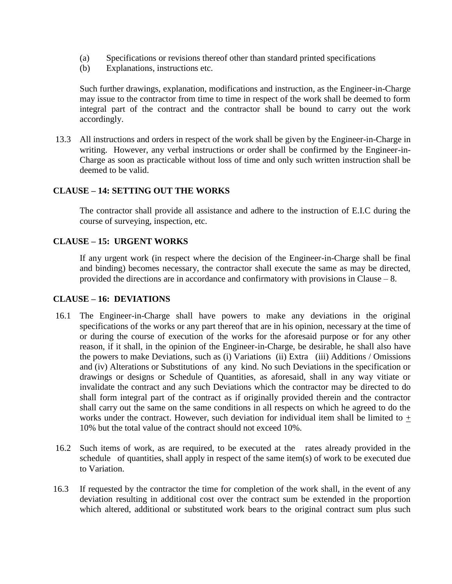- (a) Specifications or revisions thereof other than standard printed specifications
- (b) Explanations, instructions etc.

Such further drawings, explanation, modifications and instruction, as the Engineer-in-Charge may issue to the contractor from time to time in respect of the work shall be deemed to form integral part of the contract and the contractor shall be bound to carry out the work accordingly.

13.3 All instructions and orders in respect of the work shall be given by the Engineer-in-Charge in writing. However, any verbal instructions or order shall be confirmed by the Engineer-in-Charge as soon as practicable without loss of time and only such written instruction shall be deemed to be valid.

### **CLAUSE – 14: SETTING OUT THE WORKS**

The contractor shall provide all assistance and adhere to the instruction of E.I.C during the course of surveying, inspection, etc.

#### **CLAUSE – 15: URGENT WORKS**

If any urgent work (in respect where the decision of the Engineer-in-Charge shall be final and binding) becomes necessary, the contractor shall execute the same as may be directed, provided the directions are in accordance and confirmatory with provisions in Clause – 8.

#### **CLAUSE – 16: DEVIATIONS**

- 16.1 The Engineer-in-Charge shall have powers to make any deviations in the original specifications of the works or any part thereof that are in his opinion, necessary at the time of or during the course of execution of the works for the aforesaid purpose or for any other reason, if it shall, in the opinion of the Engineer-in-Charge, be desirable, he shall also have the powers to make Deviations, such as (i) Variations (ii) Extra (iii) Additions / Omissions and (iv) Alterations or Substitutions of any kind. No such Deviations in the specification or drawings or designs or Schedule of Quantities, as aforesaid, shall in any way vitiate or invalidate the contract and any such Deviations which the contractor may be directed to do shall form integral part of the contract as if originally provided therein and the contractor shall carry out the same on the same conditions in all respects on which he agreed to do the works under the contract. However, such deviation for individual item shall be limited to  $+$ 10% but the total value of the contract should not exceed 10%.
- 16.2 Such items of work, as are required, to be executed at the rates already provided in the schedule of quantities, shall apply in respect of the same item(s) of work to be executed due to Variation.
- 16.3 If requested by the contractor the time for completion of the work shall, in the event of any deviation resulting in additional cost over the contract sum be extended in the proportion which altered, additional or substituted work bears to the original contract sum plus such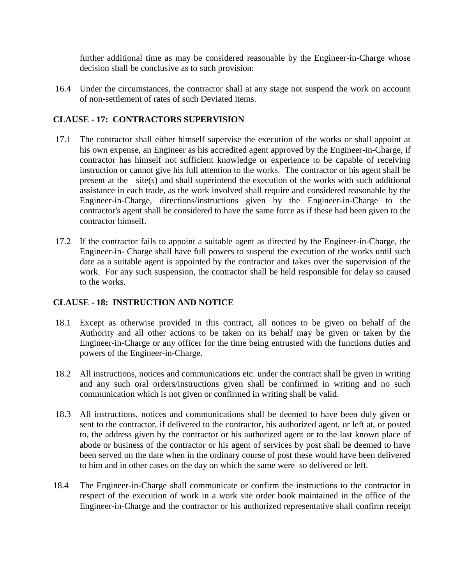further additional time as may be considered reasonable by the Engineer-in-Charge whose decision shall be conclusive as to such provision:

16.4 Under the circumstances, the contractor shall at any stage not suspend the work on account of non-settlement of rates of such Deviated items.

### **CLAUSE - 17: CONTRACTORS SUPERVISION**

- 17.1 The contractor shall either himself supervise the execution of the works or shall appoint at his own expense, an Engineer as his accredited agent approved by the Engineer-in-Charge, if contractor has himself not sufficient knowledge or experience to be capable of receiving instruction or cannot give his full attention to the works. The contractor or his agent shall be present at the site(s) and shall superintend the execution of the works with such additional assistance in each trade, as the work involved shall require and considered reasonable by the Engineer-in-Charge, directions/instructions given by the Engineer-in-Charge to the contractor's agent shall be considered to have the same force as if these had been given to the contractor himself.
- 17.2 If the contractor fails to appoint a suitable agent as directed by the Engineer-in-Charge, the Engineer-in- Charge shall have full powers to suspend the execution of the works until such date as a suitable agent is appointed by the contractor and takes over the supervision of the work. For any such suspension, the contractor shall be held responsible for delay so caused to the works.

### **CLAUSE - 18: INSTRUCTION AND NOTICE**

- 18.1 Except as otherwise provided in this contract, all notices to be given on behalf of the Authority and all other actions to be taken on its behalf may be given or taken by the Engineer-in-Charge or any officer for the time being entrusted with the functions duties and powers of the Engineer-in-Charge.
- 18.2 All instructions, notices and communications etc. under the contract shall be given in writing and any such oral orders/instructions given shall be confirmed in writing and no such communication which is not given or confirmed in writing shall be valid.
- 18.3 All instructions, notices and communications shall be deemed to have been duly given or sent to the contractor, if delivered to the contractor, his authorized agent, or left at, or posted to, the address given by the contractor or his authorized agent or to the last known place of abode or business of the contractor or his agent of services by post shall be deemed to have been served on the date when in the ordinary course of post these would have been delivered to him and in other cases on the day on which the same were so delivered or left.
- 18.4 The Engineer-in-Charge shall communicate or confirm the instructions to the contractor in respect of the execution of work in a work site order book maintained in the office of the Engineer-in-Charge and the contractor or his authorized representative shall confirm receipt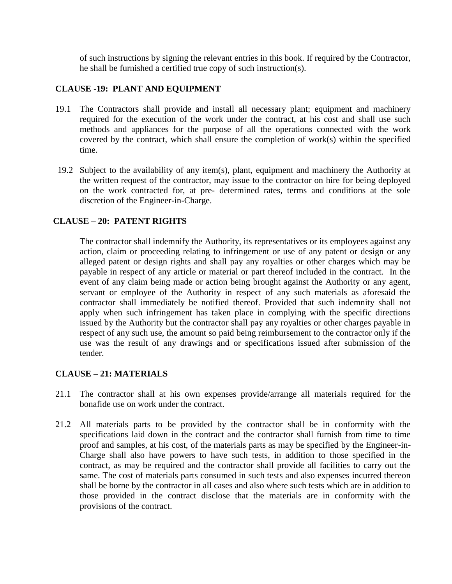of such instructions by signing the relevant entries in this book. If required by the Contractor, he shall be furnished a certified true copy of such instruction(s).

### **CLAUSE -19: PLANT AND EQUIPMENT**

- 19.1 The Contractors shall provide and install all necessary plant; equipment and machinery required for the execution of the work under the contract, at his cost and shall use such methods and appliances for the purpose of all the operations connected with the work covered by the contract, which shall ensure the completion of work(s) within the specified time.
- 19.2 Subject to the availability of any item(s), plant, equipment and machinery the Authority at the written request of the contractor, may issue to the contractor on hire for being deployed on the work contracted for, at pre- determined rates, terms and conditions at the sole discretion of the Engineer-in-Charge.

### **CLAUSE – 20: PATENT RIGHTS**

The contractor shall indemnify the Authority, its representatives or its employees against any action, claim or proceeding relating to infringement or use of any patent or design or any alleged patent or design rights and shall pay any royalties or other charges which may be payable in respect of any article or material or part thereof included in the contract. In the event of any claim being made or action being brought against the Authority or any agent, servant or employee of the Authority in respect of any such materials as aforesaid the contractor shall immediately be notified thereof. Provided that such indemnity shall not apply when such infringement has taken place in complying with the specific directions issued by the Authority but the contractor shall pay any royalties or other charges payable in respect of any such use, the amount so paid being reimbursement to the contractor only if the use was the result of any drawings and or specifications issued after submission of the tender.

### **CLAUSE – 21: MATERIALS**

- 21.1 The contractor shall at his own expenses provide/arrange all materials required for the bonafide use on work under the contract.
- 21.2 All materials parts to be provided by the contractor shall be in conformity with the specifications laid down in the contract and the contractor shall furnish from time to time proof and samples, at his cost, of the materials parts as may be specified by the Engineer-in-Charge shall also have powers to have such tests, in addition to those specified in the contract, as may be required and the contractor shall provide all facilities to carry out the same. The cost of materials parts consumed in such tests and also expenses incurred thereon shall be borne by the contractor in all cases and also where such tests which are in addition to those provided in the contract disclose that the materials are in conformity with the provisions of the contract.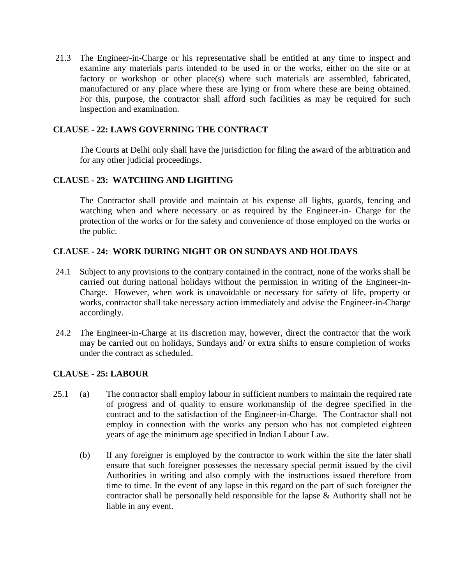21.3 The Engineer-in-Charge or his representative shall be entitled at any time to inspect and examine any materials parts intended to be used in or the works, either on the site or at factory or workshop or other place(s) where such materials are assembled, fabricated, manufactured or any place where these are lying or from where these are being obtained. For this, purpose, the contractor shall afford such facilities as may be required for such inspection and examination.

#### **CLAUSE - 22: LAWS GOVERNING THE CONTRACT**

The Courts at Delhi only shall have the jurisdiction for filing the award of the arbitration and for any other judicial proceedings.

#### **CLAUSE - 23: WATCHING AND LIGHTING**

The Contractor shall provide and maintain at his expense all lights, guards, fencing and watching when and where necessary or as required by the Engineer-in- Charge for the protection of the works or for the safety and convenience of those employed on the works or the public.

#### **CLAUSE - 24: WORK DURING NIGHT OR ON SUNDAYS AND HOLIDAYS**

- 24.1 Subject to any provisions to the contrary contained in the contract, none of the works shall be carried out during national holidays without the permission in writing of the Engineer-in-Charge. However, when work is unavoidable or necessary for safety of life, property or works, contractor shall take necessary action immediately and advise the Engineer-in-Charge accordingly.
- 24.2 The Engineer-in-Charge at its discretion may, however, direct the contractor that the work may be carried out on holidays, Sundays and/ or extra shifts to ensure completion of works under the contract as scheduled.

#### **CLAUSE - 25: LABOUR**

- 25.1 (a) The contractor shall employ labour in sufficient numbers to maintain the required rate of progress and of quality to ensure workmanship of the degree specified in the contract and to the satisfaction of the Engineer-in-Charge. The Contractor shall not employ in connection with the works any person who has not completed eighteen years of age the minimum age specified in Indian Labour Law.
	- (b) If any foreigner is employed by the contractor to work within the site the later shall ensure that such foreigner possesses the necessary special permit issued by the civil Authorities in writing and also comply with the instructions issued therefore from time to time. In the event of any lapse in this regard on the part of such foreigner the contractor shall be personally held responsible for the lapse & Authority shall not be liable in any event.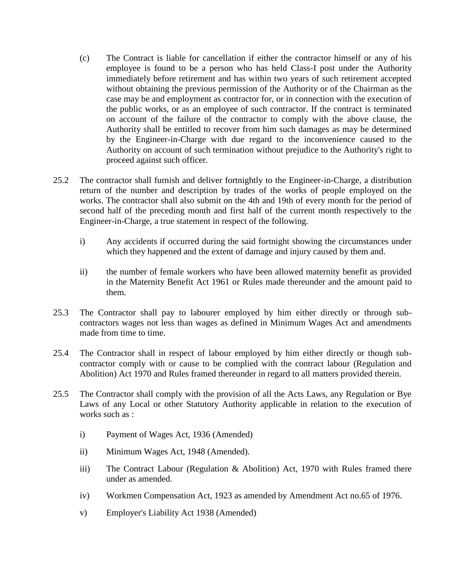- (c) The Contract is liable for cancellation if either the contractor himself or any of his employee is found to be a person who has held Class-I post under the Authority immediately before retirement and has within two years of such retirement accepted without obtaining the previous permission of the Authority or of the Chairman as the case may be and employment as contractor for, or in connection with the execution of the public works, or as an employee of such contractor. If the contract is terminated on account of the failure of the contractor to comply with the above clause, the Authority shall be entitled to recover from him such damages as may be determined by the Engineer-in-Charge with due regard to the inconvenience caused to the Authority on account of such termination without prejudice to the Authority's right to proceed against such officer.
- 25.2 The contractor shall furnish and deliver fortnightly to the Engineer-in-Charge, a distribution return of the number and description by trades of the works of people employed on the works. The contractor shall also submit on the 4th and 19th of every month for the period of second half of the preceding month and first half of the current month respectively to the Engineer-in-Charge, a true statement in respect of the following.
	- i) Any accidents if occurred during the said fortnight showing the circumstances under which they happened and the extent of damage and injury caused by them and.
	- ii) the number of female workers who have been allowed maternity benefit as provided in the Maternity Benefit Act 1961 or Rules made thereunder and the amount paid to them.
- 25.3 The Contractor shall pay to labourer employed by him either directly or through subcontractors wages not less than wages as defined in Minimum Wages Act and amendments made from time to time.
- 25.4 The Contractor shall in respect of labour employed by him either directly or though subcontractor comply with or cause to be complied with the contract labour (Regulation and Abolition) Act 1970 and Rules framed thereunder in regard to all matters provided therein.
- 25.5 The Contractor shall comply with the provision of all the Acts Laws, any Regulation or Bye Laws of any Local or other Statutory Authority applicable in relation to the execution of works such as :
	- i) Payment of Wages Act, 1936 (Amended)
	- ii) Minimum Wages Act, 1948 (Amended).
	- iii) The Contract Labour (Regulation & Abolition) Act, 1970 with Rules framed there under as amended.
	- iv) Workmen Compensation Act, 1923 as amended by Amendment Act no.65 of 1976.
	- v) Employer's Liability Act 1938 (Amended)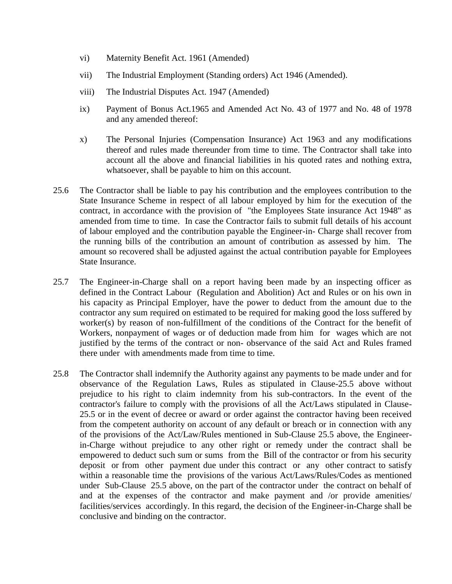- vi) Maternity Benefit Act. 1961 (Amended)
- vii) The Industrial Employment (Standing orders) Act 1946 (Amended).
- viii) The Industrial Disputes Act. 1947 (Amended)
- ix) Payment of Bonus Act.1965 and Amended Act No. 43 of 1977 and No. 48 of 1978 and any amended thereof:
- x) The Personal Injuries (Compensation Insurance) Act 1963 and any modifications thereof and rules made thereunder from time to time. The Contractor shall take into account all the above and financial liabilities in his quoted rates and nothing extra, whatsoever, shall be payable to him on this account.
- 25.6 The Contractor shall be liable to pay his contribution and the employees contribution to the State Insurance Scheme in respect of all labour employed by him for the execution of the contract, in accordance with the provision of "the Employees State insurance Act 1948" as amended from time to time. In case the Contractor fails to submit full details of his account of labour employed and the contribution payable the Engineer-in- Charge shall recover from the running bills of the contribution an amount of contribution as assessed by him. The amount so recovered shall be adjusted against the actual contribution payable for Employees State Insurance.
- 25.7 The Engineer-in-Charge shall on a report having been made by an inspecting officer as defined in the Contract Labour (Regulation and Abolition) Act and Rules or on his own in his capacity as Principal Employer, have the power to deduct from the amount due to the contractor any sum required on estimated to be required for making good the loss suffered by worker(s) by reason of non-fulfillment of the conditions of the Contract for the benefit of Workers, nonpayment of wages or of deduction made from him for wages which are not justified by the terms of the contract or non- observance of the said Act and Rules framed there under with amendments made from time to time.
- 25.8 The Contractor shall indemnify the Authority against any payments to be made under and for observance of the Regulation Laws, Rules as stipulated in Clause-25.5 above without prejudice to his right to claim indemnity from his sub-contractors. In the event of the contractor's failure to comply with the provisions of all the Act/Laws stipulated in Clause-25.5 or in the event of decree or award or order against the contractor having been received from the competent authority on account of any default or breach or in connection with any of the provisions of the Act/Law/Rules mentioned in Sub-Clause 25.5 above, the Engineerin-Charge without prejudice to any other right or remedy under the contract shall be empowered to deduct such sum or sums from the Bill of the contractor or from his security deposit or from other payment due under this contract or any other contract to satisfy within a reasonable time the provisions of the various Act/Laws/Rules/Codes as mentioned under Sub-Clause 25.5 above, on the part of the contractor under the contract on behalf of and at the expenses of the contractor and make payment and /or provide amenities/ facilities/services accordingly. In this regard, the decision of the Engineer-in-Charge shall be conclusive and binding on the contractor.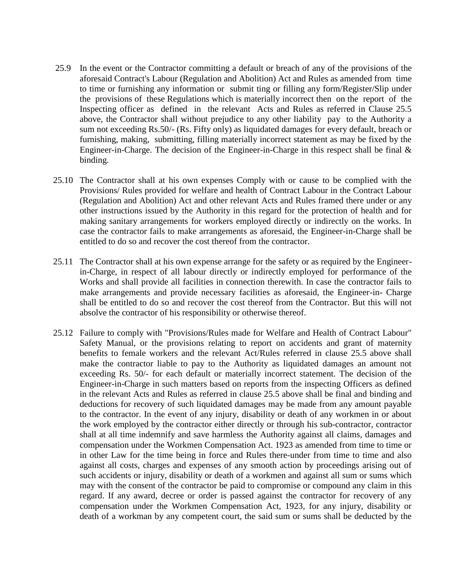- 25.9 In the event or the Contractor committing a default or breach of any of the provisions of the aforesaid Contract's Labour (Regulation and Abolition) Act and Rules as amended from time to time or furnishing any information or submit ting or filling any form/Register/Slip under the provisions of these Regulations which is materially incorrect then on the report of the Inspecting officer as defined in the relevant Acts and Rules as referred in Clause 25.5 above, the Contractor shall without prejudice to any other liability pay to the Authority a sum not exceeding Rs.50/- (Rs. Fifty only) as liquidated damages for every default, breach or furnishing, making, submitting, filling materially incorrect statement as may be fixed by the Engineer-in-Charge. The decision of the Engineer-in-Charge in this respect shall be final  $\&$ binding.
- 25.10 The Contractor shall at his own expenses Comply with or cause to be complied with the Provisions/ Rules provided for welfare and health of Contract Labour in the Contract Labour (Regulation and Abolition) Act and other relevant Acts and Rules framed there under or any other instructions issued by the Authority in this regard for the protection of health and for making sanitary arrangements for workers employed directly or indirectly on the works. In case the contractor fails to make arrangements as aforesaid, the Engineer-in-Charge shall be entitled to do so and recover the cost thereof from the contractor.
- 25.11 The Contractor shall at his own expense arrange for the safety or as required by the Engineerin-Charge, in respect of all labour directly or indirectly employed for performance of the Works and shall provide all facilities in connection therewith. In case the contractor fails to make arrangements and provide necessary facilities as aforesaid, the Engineer-in- Charge shall be entitled to do so and recover the cost thereof from the Contractor. But this will not absolve the contractor of his responsibility or otherwise thereof.
- 25.12 Failure to comply with "Provisions/Rules made for Welfare and Health of Contract Labour" Safety Manual, or the provisions relating to report on accidents and grant of maternity benefits to female workers and the relevant Act/Rules referred in clause 25.5 above shall make the contractor liable to pay to the Authority as liquidated damages an amount not exceeding Rs. 50/- for each default or materially incorrect statement. The decision of the Engineer-in-Charge in such matters based on reports from the inspecting Officers as defined in the relevant Acts and Rules as referred in clause 25.5 above shall be final and binding and deductions for recovery of such liquidated damages may be made from any amount payable to the contractor. In the event of any injury, disability or death of any workmen in or about the work employed by the contractor either directly or through his sub-contractor, contractor shall at all time indemnify and save harmless the Authority against all claims, damages and compensation under the Workmen Compensation Act. 1923 as amended from time to time or in other Law for the time being in force and Rules there-under from time to time and also against all costs, charges and expenses of any smooth action by proceedings arising out of such accidents or injury, disability or death of a workmen and against all sum or sums which may with the consent of the contractor be paid to compromise or compound any claim in this regard. If any award, decree or order is passed against the contractor for recovery of any compensation under the Workmen Compensation Act, 1923, for any injury, disability or death of a workman by any competent court, the said sum or sums shall be deducted by the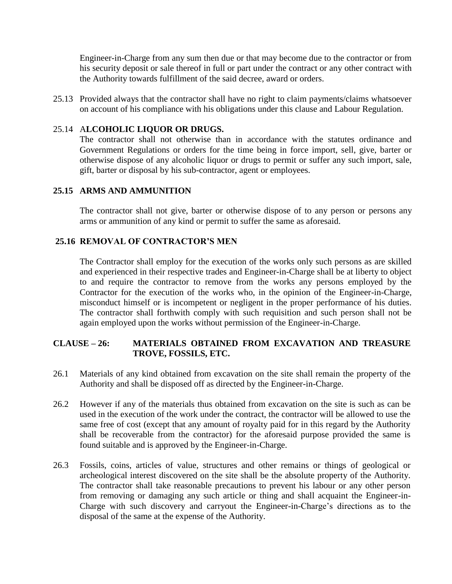Engineer-in-Charge from any sum then due or that may become due to the contractor or from his security deposit or sale thereof in full or part under the contract or any other contract with the Authority towards fulfillment of the said decree, award or orders.

25.13 Provided always that the contractor shall have no right to claim payments/claims whatsoever on account of his compliance with his obligations under this clause and Labour Regulation.

#### 25.14 A**LCOHOLIC LIQUOR OR DRUGS.**

The contractor shall not otherwise than in accordance with the statutes ordinance and Government Regulations or orders for the time being in force import, sell, give, barter or otherwise dispose of any alcoholic liquor or drugs to permit or suffer any such import, sale, gift, barter or disposal by his sub-contractor, agent or employees.

#### **25.15 ARMS AND AMMUNITION**

The contractor shall not give, barter or otherwise dispose of to any person or persons any arms or ammunition of any kind or permit to suffer the same as aforesaid.

#### **25.16 REMOVAL OF CONTRACTOR'S MEN**

The Contractor shall employ for the execution of the works only such persons as are skilled and experienced in their respective trades and Engineer-in-Charge shall be at liberty to object to and require the contractor to remove from the works any persons employed by the Contractor for the execution of the works who, in the opinion of the Engineer-in-Charge, misconduct himself or is incompetent or negligent in the proper performance of his duties. The contractor shall forthwith comply with such requisition and such person shall not be again employed upon the works without permission of the Engineer-in-Charge.

#### **CLAUSE – 26: MATERIALS OBTAINED FROM EXCAVATION AND TREASURE TROVE, FOSSILS, ETC.**

- 26.1 Materials of any kind obtained from excavation on the site shall remain the property of the Authority and shall be disposed off as directed by the Engineer-in-Charge.
- 26.2 However if any of the materials thus obtained from excavation on the site is such as can be used in the execution of the work under the contract, the contractor will be allowed to use the same free of cost (except that any amount of royalty paid for in this regard by the Authority shall be recoverable from the contractor) for the aforesaid purpose provided the same is found suitable and is approved by the Engineer-in-Charge.
- 26.3 Fossils, coins, articles of value, structures and other remains or things of geological or archeological interest discovered on the site shall be the absolute property of the Authority. The contractor shall take reasonable precautions to prevent his labour or any other person from removing or damaging any such article or thing and shall acquaint the Engineer-in-Charge with such discovery and carryout the Engineer-in-Charge's directions as to the disposal of the same at the expense of the Authority.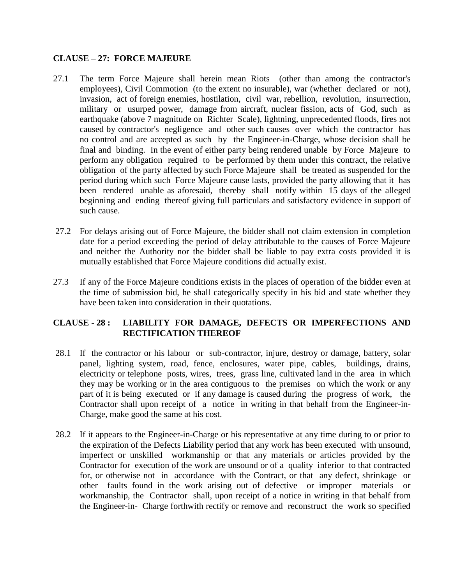#### **CLAUSE – 27: FORCE MAJEURE**

- 27.1 The term Force Majeure shall herein mean Riots (other than among the contractor's employees), Civil Commotion (to the extent no insurable), war (whether declared or not), invasion, act of foreign enemies, hostilation, civil war, rebellion, revolution, insurrection, military or usurped power, damage from aircraft, nuclear fission, acts of God, such as earthquake (above 7 magnitude on Richter Scale), lightning, unprecedented floods, fires not caused by contractor's negligence and other such causes over which the contractor has no control and are accepted as such by the Engineer-in-Charge, whose decision shall be final and binding. In the event of either party being rendered unable by Force Majeure to perform any obligation required to be performed by them under this contract, the relative obligation of the party affected by such Force Majeure shall be treated as suspended for the period during which such Force Majeure cause lasts, provided the party allowing that it has been rendered unable as aforesaid, thereby shall notify within 15 days of the alleged beginning and ending thereof giving full particulars and satisfactory evidence in support of such cause.
- 27.2 For delays arising out of Force Majeure, the bidder shall not claim extension in completion date for a period exceeding the period of delay attributable to the causes of Force Majeure and neither the Authority nor the bidder shall be liable to pay extra costs provided it is mutually established that Force Majeure conditions did actually exist.
- 27.3 If any of the Force Majeure conditions exists in the places of operation of the bidder even at the time of submission bid, he shall categorically specify in his bid and state whether they have been taken into consideration in their quotations.

## **CLAUSE - 28 : LIABILITY FOR DAMAGE, DEFECTS OR IMPERFECTIONS AND RECTIFICATION THEREOF**

- 28.1 If the contractor or his labour or sub-contractor, injure, destroy or damage, battery, solar panel, lighting system, road, fence, enclosures, water pipe, cables, buildings, drains, electricity or telephone posts, wires, trees, grass line, cultivated land in the area in which they may be working or in the area contiguous to the premises on which the work or any part of it is being executed or if any damage is caused during the progress of work, the Contractor shall upon receipt of a notice in writing in that behalf from the Engineer-in-Charge, make good the same at his cost.
- 28.2 If it appears to the Engineer-in-Charge or his representative at any time during to or prior to the expiration of the Defects Liability period that any work has been executed with unsound, imperfect or unskilled workmanship or that any materials or articles provided by the Contractor for execution of the work are unsound or of a quality inferior to that contracted for, or otherwise not in accordance with the Contract, or that any defect, shrinkage or other faults found in the work arising out of defective or improper materials or workmanship, the Contractor shall, upon receipt of a notice in writing in that behalf from the Engineer-in- Charge forthwith rectify or remove and reconstruct the work so specified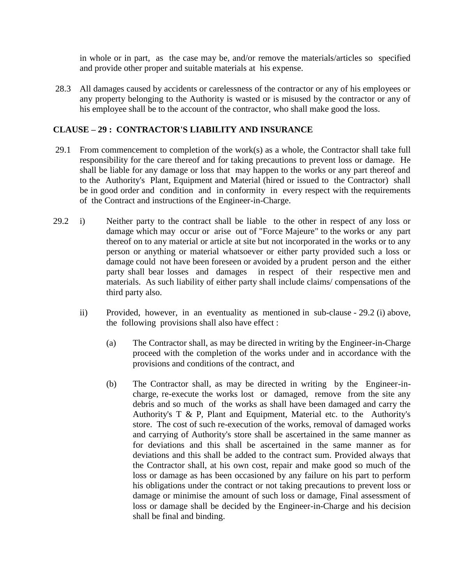in whole or in part, as the case may be, and/or remove the materials/articles so specified and provide other proper and suitable materials at his expense.

28.3 All damages caused by accidents or carelessness of the contractor or any of his employees or any property belonging to the Authority is wasted or is misused by the contractor or any of his employee shall be to the account of the contractor, who shall make good the loss.

#### **CLAUSE – 29 : CONTRACTOR'S LIABILITY AND INSURANCE**

- 29.1 From commencement to completion of the work(s) as a whole, the Contractor shall take full responsibility for the care thereof and for taking precautions to prevent loss or damage. He shall be liable for any damage or loss that may happen to the works or any part thereof and to the Authority's Plant, Equipment and Material (hired or issued to the Contractor) shall be in good order and condition and in conformity in every respect with the requirements of the Contract and instructions of the Engineer-in-Charge.
- 29.2 i) Neither party to the contract shall be liable to the other in respect of any loss or damage which may occur or arise out of "Force Majeure" to the works or any part thereof on to any material or article at site but not incorporated in the works or to any person or anything or material whatsoever or either party provided such a loss or damage could not have been foreseen or avoided by a prudent person and the either party shall bear losses and damages in respect of their respective men and materials. As such liability of either party shall include claims/ compensations of the third party also.
	- ii) Provided, however, in an eventuality as mentioned in sub-clause 29.2 (i) above, the following provisions shall also have effect :
		- (a) The Contractor shall, as may be directed in writing by the Engineer-in-Charge proceed with the completion of the works under and in accordance with the provisions and conditions of the contract, and
		- (b) The Contractor shall, as may be directed in writing by the Engineer-incharge, re-execute the works lost or damaged, remove from the site any debris and so much of the works as shall have been damaged and carry the Authority's T & P, Plant and Equipment, Material etc. to the Authority's store. The cost of such re-execution of the works, removal of damaged works and carrying of Authority's store shall be ascertained in the same manner as for deviations and this shall be ascertained in the same manner as for deviations and this shall be added to the contract sum. Provided always that the Contractor shall, at his own cost, repair and make good so much of the loss or damage as has been occasioned by any failure on his part to perform his obligations under the contract or not taking precautions to prevent loss or damage or minimise the amount of such loss or damage, Final assessment of loss or damage shall be decided by the Engineer-in-Charge and his decision shall be final and binding.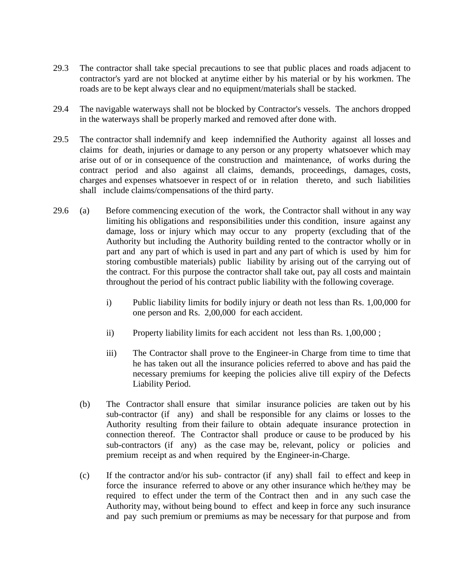- 29.3 The contractor shall take special precautions to see that public places and roads adjacent to contractor's yard are not blocked at anytime either by his material or by his workmen. The roads are to be kept always clear and no equipment/materials shall be stacked.
- 29.4 The navigable waterways shall not be blocked by Contractor's vessels. The anchors dropped in the waterways shall be properly marked and removed after done with.
- 29.5 The contractor shall indemnify and keep indemnified the Authority against all losses and claims for death, injuries or damage to any person or any property whatsoever which may arise out of or in consequence of the construction and maintenance, of works during the contract period and also against all claims, demands, proceedings, damages, costs, charges and expenses whatsoever in respect of or in relation thereto, and such liabilities shall include claims/compensations of the third party.
- 29.6 (a) Before commencing execution of the work, the Contractor shall without in any way limiting his obligations and responsibilities under this condition, insure against any damage, loss or injury which may occur to any property (excluding that of the Authority but including the Authority building rented to the contractor wholly or in part and any part of which is used in part and any part of which is used by him for storing combustible materials) public liability by arising out of the carrying out of the contract. For this purpose the contractor shall take out, pay all costs and maintain throughout the period of his contract public liability with the following coverage.
	- i) Public liability limits for bodily injury or death not less than Rs. 1,00,000 for one person and Rs. 2,00,000 for each accident.
	- ii) Property liability limits for each accident not less than Rs. 1,00,000 ;
	- iii) The Contractor shall prove to the Engineer-in Charge from time to time that he has taken out all the insurance policies referred to above and has paid the necessary premiums for keeping the policies alive till expiry of the Defects Liability Period.
	- (b) The Contractor shall ensure that similar insurance policies are taken out by his sub-contractor (if any) and shall be responsible for any claims or losses to the Authority resulting from their failure to obtain adequate insurance protection in connection thereof. The Contractor shall produce or cause to be produced by his sub-contractors (if any) as the case may be, relevant, policy or policies and premium receipt as and when required by the Engineer-in-Charge.
	- (c) If the contractor and/or his sub- contractor (if any) shall fail to effect and keep in force the insurance referred to above or any other insurance which he/they may be required to effect under the term of the Contract then and in any such case the Authority may, without being bound to effect and keep in force any such insurance and pay such premium or premiums as may be necessary for that purpose and from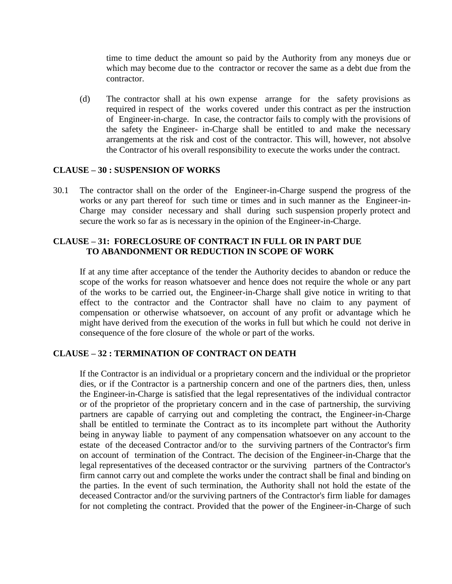time to time deduct the amount so paid by the Authority from any moneys due or which may become due to the contractor or recover the same as a debt due from the contractor.

(d) The contractor shall at his own expense arrange for the safety provisions as required in respect of the works covered under this contract as per the instruction of Engineer-in-charge. In case, the contractor fails to comply with the provisions of the safety the Engineer- in-Charge shall be entitled to and make the necessary arrangements at the risk and cost of the contractor. This will, however, not absolve the Contractor of his overall responsibility to execute the works under the contract.

#### **CLAUSE – 30 : SUSPENSION OF WORKS**

30.1 The contractor shall on the order of the Engineer-in-Charge suspend the progress of the works or any part thereof for such time or times and in such manner as the Engineer-in-Charge may consider necessary and shall during such suspension properly protect and secure the work so far as is necessary in the opinion of the Engineer-in-Charge.

#### **CLAUSE – 31: FORECLOSURE OF CONTRACT IN FULL OR IN PART DUE TO ABANDONMENT OR REDUCTION IN SCOPE OF WORK**

If at any time after acceptance of the tender the Authority decides to abandon or reduce the scope of the works for reason whatsoever and hence does not require the whole or any part of the works to be carried out, the Engineer-in-Charge shall give notice in writing to that effect to the contractor and the Contractor shall have no claim to any payment of compensation or otherwise whatsoever, on account of any profit or advantage which he might have derived from the execution of the works in full but which he could not derive in consequence of the fore closure of the whole or part of the works.

#### **CLAUSE – 32 : TERMINATION OF CONTRACT ON DEATH**

If the Contractor is an individual or a proprietary concern and the individual or the proprietor dies, or if the Contractor is a partnership concern and one of the partners dies, then, unless the Engineer-in-Charge is satisfied that the legal representatives of the individual contractor or of the proprietor of the proprietary concern and in the case of partnership, the surviving partners are capable of carrying out and completing the contract, the Engineer-in-Charge shall be entitled to terminate the Contract as to its incomplete part without the Authority being in anyway liable to payment of any compensation whatsoever on any account to the estate of the deceased Contractor and/or to the surviving partners of the Contractor's firm on account of termination of the Contract. The decision of the Engineer-in-Charge that the legal representatives of the deceased contractor or the surviving partners of the Contractor's firm cannot carry out and complete the works under the contract shall be final and binding on the parties. In the event of such termination, the Authority shall not hold the estate of the deceased Contractor and/or the surviving partners of the Contractor's firm liable for damages for not completing the contract. Provided that the power of the Engineer-in-Charge of such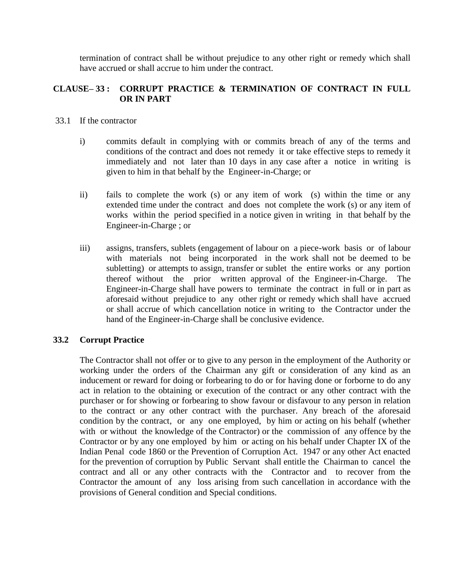termination of contract shall be without prejudice to any other right or remedy which shall have accrued or shall accrue to him under the contract.

### **CLAUSE– 33 : CORRUPT PRACTICE & TERMINATION OF CONTRACT IN FULL OR IN PART**

- 33.1 If the contractor
	- i) commits default in complying with or commits breach of any of the terms and conditions of the contract and does not remedy it or take effective steps to remedy it immediately and not later than 10 days in any case after a notice in writing is given to him in that behalf by the Engineer-in-Charge; or
	- ii) fails to complete the work (s) or any item of work (s) within the time or any extended time under the contract and does not complete the work (s) or any item of works within the period specified in a notice given in writing in that behalf by the Engineer-in-Charge ; or
	- iii) assigns, transfers, sublets (engagement of labour on a piece-work basis or of labour with materials not being incorporated in the work shall not be deemed to be subletting) or attempts to assign, transfer or sublet the entire works or any portion thereof without the prior written approval of the Engineer-in-Charge. The Engineer-in-Charge shall have powers to terminate the contract in full or in part as aforesaid without prejudice to any other right or remedy which shall have accrued or shall accrue of which cancellation notice in writing to the Contractor under the hand of the Engineer-in-Charge shall be conclusive evidence.

### **33.2 Corrupt Practice**

The Contractor shall not offer or to give to any person in the employment of the Authority or working under the orders of the Chairman any gift or consideration of any kind as an inducement or reward for doing or forbearing to do or for having done or forborne to do any act in relation to the obtaining or execution of the contract or any other contract with the purchaser or for showing or forbearing to show favour or disfavour to any person in relation to the contract or any other contract with the purchaser. Any breach of the aforesaid condition by the contract, or any one employed, by him or acting on his behalf (whether with or without the knowledge of the Contractor) or the commission of any offence by the Contractor or by any one employed by him or acting on his behalf under Chapter IX of the Indian Penal code 1860 or the Prevention of Corruption Act. 1947 or any other Act enacted for the prevention of corruption by Public Servant shall entitle the Chairman to cancel the contract and all or any other contracts with the Contractor and to recover from the Contractor the amount of any loss arising from such cancellation in accordance with the provisions of General condition and Special conditions.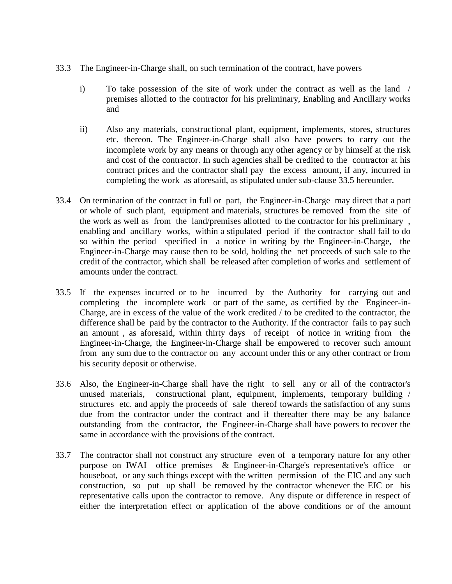- 33.3 The Engineer-in-Charge shall, on such termination of the contract, have powers
	- i) To take possession of the site of work under the contract as well as the land / premises allotted to the contractor for his preliminary, Enabling and Ancillary works and
	- ii) Also any materials, constructional plant, equipment, implements, stores, structures etc. thereon. The Engineer-in-Charge shall also have powers to carry out the incomplete work by any means or through any other agency or by himself at the risk and cost of the contractor. In such agencies shall be credited to the contractor at his contract prices and the contractor shall pay the excess amount, if any, incurred in completing the work as aforesaid, as stipulated under sub-clause 33.5 hereunder.
- 33.4 On termination of the contract in full or part, the Engineer-in-Charge may direct that a part or whole of such plant, equipment and materials, structures be removed from the site of the work as well as from the land/premises allotted to the contractor for his preliminary , enabling and ancillary works, within a stipulated period if the contractor shall fail to do so within the period specified in a notice in writing by the Engineer-in-Charge, the Engineer-in-Charge may cause then to be sold, holding the net proceeds of such sale to the credit of the contractor, which shall be released after completion of works and settlement of amounts under the contract.
- 33.5 If the expenses incurred or to be incurred by the Authority for carrying out and completing the incomplete work or part of the same, as certified by the Engineer-in-Charge, are in excess of the value of the work credited / to be credited to the contractor, the difference shall be paid by the contractor to the Authority. If the contractor fails to pay such an amount , as aforesaid, within thirty days of receipt of notice in writing from the Engineer-in-Charge, the Engineer-in-Charge shall be empowered to recover such amount from any sum due to the contractor on any account under this or any other contract or from his security deposit or otherwise.
- 33.6 Also, the Engineer-in-Charge shall have the right to sell any or all of the contractor's unused materials, constructional plant, equipment, implements, temporary building / structures etc. and apply the proceeds of sale thereof towards the satisfaction of any sums due from the contractor under the contract and if thereafter there may be any balance outstanding from the contractor, the Engineer-in-Charge shall have powers to recover the same in accordance with the provisions of the contract.
- 33.7 The contractor shall not construct any structure even of a temporary nature for any other purpose on IWAI office premises & Engineer-in-Charge's representative's office or houseboat, or any such things except with the written permission of the EIC and any such construction, so put up shall be removed by the contractor whenever the EIC or his representative calls upon the contractor to remove. Any dispute or difference in respect of either the interpretation effect or application of the above conditions or of the amount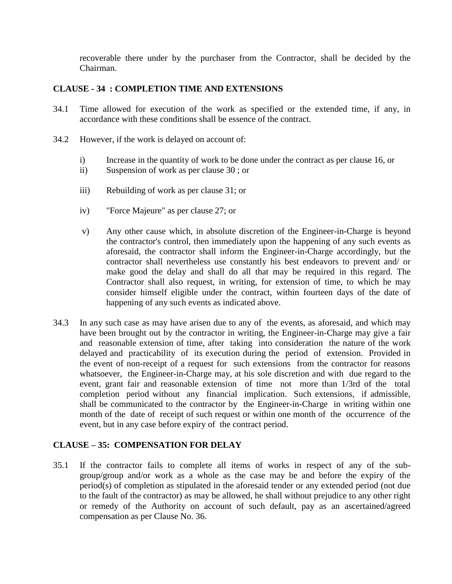recoverable there under by the purchaser from the Contractor, shall be decided by the Chairman.

## **CLAUSE - 34 : COMPLETION TIME AND EXTENSIONS**

- 34.1 Time allowed for execution of the work as specified or the extended time, if any, in accordance with these conditions shall be essence of the contract.
- 34.2 However, if the work is delayed on account of:
	- i) Increase in the quantity of work to be done under the contract as per clause 16, or
	- ii) Suspension of work as per clause 30 ; or
	- iii) Rebuilding of work as per clause 31; or
	- iv) "Force Majeure" as per clause 27; or
	- v) Any other cause which, in absolute discretion of the Engineer-in-Charge is beyond the contractor's control, then immediately upon the happening of any such events as aforesaid, the contractor shall inform the Engineer-in-Charge accordingly, but the contractor shall nevertheless use constantly his best endeavors to prevent and/ or make good the delay and shall do all that may be required in this regard. The Contractor shall also request, in writing, for extension of time, to which he may consider himself eligible under the contract, within fourteen days of the date of happening of any such events as indicated above.
- 34.3 In any such case as may have arisen due to any of the events, as aforesaid, and which may have been brought out by the contractor in writing, the Engineer-in-Charge may give a fair and reasonable extension of time, after taking into consideration the nature of the work delayed and practicability of its execution during the period of extension. Provided in the event of non-receipt of a request for such extensions from the contractor for reasons whatsoever, the Engineer-in-Charge may, at his sole discretion and with due regard to the event, grant fair and reasonable extension of time not more than 1/3rd of the total completion period without any financial implication. Such extensions, if admissible, shall be communicated to the contractor by the Engineer-in-Charge in writing within one month of the date of receipt of such request or within one month of the occurrence of the event, but in any case before expiry of the contract period.

### **CLAUSE – 35: COMPENSATION FOR DELAY**

35.1 If the contractor fails to complete all items of works in respect of any of the subgroup/group and/or work as a whole as the case may be and before the expiry of the period(s) of completion as stipulated in the aforesaid tender or any extended period (not due to the fault of the contractor) as may be allowed, he shall without prejudice to any other right or remedy of the Authority on account of such default, pay as an ascertained/agreed compensation as per Clause No. 36.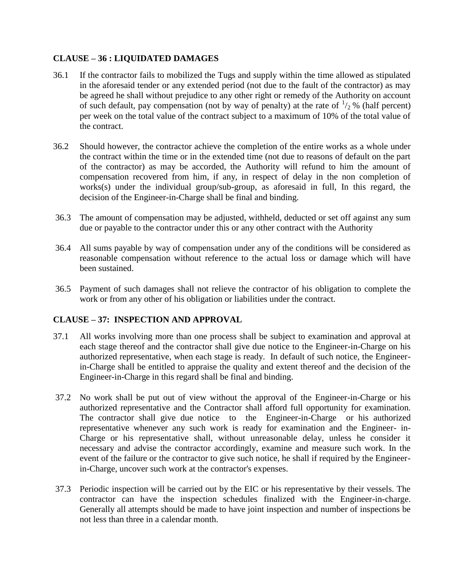### **CLAUSE – 36 : LIQUIDATED DAMAGES**

- 36.1 If the contractor fails to mobilized the Tugs and supply within the time allowed as stipulated in the aforesaid tender or any extended period (not due to the fault of the contractor) as may be agreed he shall without prejudice to any other right or remedy of the Authority on account of such default, pay compensation (not by way of penalty) at the rate of  $\frac{1}{2}$ % (half percent) per week on the total value of the contract subject to a maximum of 10% of the total value of the contract.
- 36.2 Should however, the contractor achieve the completion of the entire works as a whole under the contract within the time or in the extended time (not due to reasons of default on the part of the contractor) as may be accorded, the Authority will refund to him the amount of compensation recovered from him, if any, in respect of delay in the non completion of works(s) under the individual group/sub-group, as aforesaid in full, In this regard, the decision of the Engineer-in-Charge shall be final and binding.
- 36.3 The amount of compensation may be adjusted, withheld, deducted or set off against any sum due or payable to the contractor under this or any other contract with the Authority
- 36.4 All sums payable by way of compensation under any of the conditions will be considered as reasonable compensation without reference to the actual loss or damage which will have been sustained.
- 36.5 Payment of such damages shall not relieve the contractor of his obligation to complete the work or from any other of his obligation or liabilities under the contract.

### **CLAUSE – 37: INSPECTION AND APPROVAL**

- 37.1 All works involving more than one process shall be subject to examination and approval at each stage thereof and the contractor shall give due notice to the Engineer-in-Charge on his authorized representative, when each stage is ready. In default of such notice, the Engineerin-Charge shall be entitled to appraise the quality and extent thereof and the decision of the Engineer-in-Charge in this regard shall be final and binding.
- 37.2 No work shall be put out of view without the approval of the Engineer-in-Charge or his authorized representative and the Contractor shall afford full opportunity for examination. The contractor shall give due notice to the Engineer-in-Charge or his authorized representative whenever any such work is ready for examination and the Engineer- in-Charge or his representative shall, without unreasonable delay, unless he consider it necessary and advise the contractor accordingly, examine and measure such work. In the event of the failure or the contractor to give such notice, he shall if required by the Engineerin-Charge, uncover such work at the contractor's expenses.
- 37.3 Periodic inspection will be carried out by the EIC or his representative by their vessels. The contractor can have the inspection schedules finalized with the Engineer-in-charge. Generally all attempts should be made to have joint inspection and number of inspections be not less than three in a calendar month.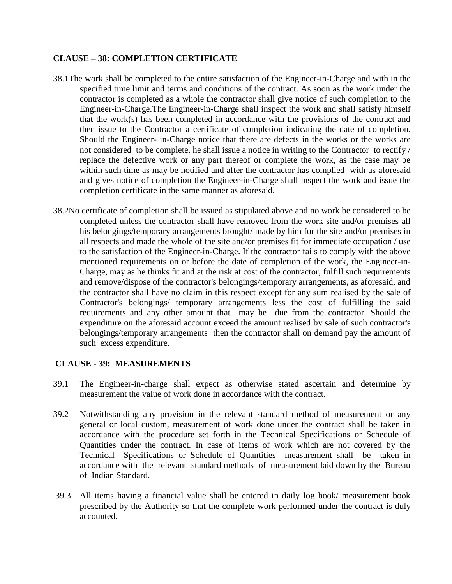#### **CLAUSE – 38: COMPLETION CERTIFICATE**

- 38.1The work shall be completed to the entire satisfaction of the Engineer-in-Charge and with in the specified time limit and terms and conditions of the contract. As soon as the work under the contractor is completed as a whole the contractor shall give notice of such completion to the Engineer-in-Charge.The Engineer-in-Charge shall inspect the work and shall satisfy himself that the work(s) has been completed in accordance with the provisions of the contract and then issue to the Contractor a certificate of completion indicating the date of completion. Should the Engineer- in-Charge notice that there are defects in the works or the works are not considered to be complete, he shall issue a notice in writing to the Contractor to rectify / replace the defective work or any part thereof or complete the work, as the case may be within such time as may be notified and after the contractor has complied with as aforesaid and gives notice of completion the Engineer-in-Charge shall inspect the work and issue the completion certificate in the same manner as aforesaid.
- 38.2No certificate of completion shall be issued as stipulated above and no work be considered to be completed unless the contractor shall have removed from the work site and/or premises all his belongings/temporary arrangements brought/ made by him for the site and/or premises in all respects and made the whole of the site and/or premises fit for immediate occupation / use to the satisfaction of the Engineer-in-Charge. If the contractor fails to comply with the above mentioned requirements on or before the date of completion of the work, the Engineer-in-Charge, may as he thinks fit and at the risk at cost of the contractor, fulfill such requirements and remove/dispose of the contractor's belongings/temporary arrangements, as aforesaid, and the contractor shall have no claim in this respect except for any sum realised by the sale of Contractor's belongings/ temporary arrangements less the cost of fulfilling the said requirements and any other amount that may be due from the contractor. Should the expenditure on the aforesaid account exceed the amount realised by sale of such contractor's belongings/temporary arrangements then the contractor shall on demand pay the amount of such excess expenditure.

#### **CLAUSE - 39: MEASUREMENTS**

- 39.1 The Engineer-in-charge shall expect as otherwise stated ascertain and determine by measurement the value of work done in accordance with the contract.
- 39.2 Notwithstanding any provision in the relevant standard method of measurement or any general or local custom, measurement of work done under the contract shall be taken in accordance with the procedure set forth in the Technical Specifications or Schedule of Quantities under the contract. In case of items of work which are not covered by the Technical Specifications or Schedule of Quantities measurement shall be taken in accordance with the relevant standard methods of measurement laid down by the Bureau of Indian Standard.
- 39.3 All items having a financial value shall be entered in daily log book/ measurement book prescribed by the Authority so that the complete work performed under the contract is duly accounted.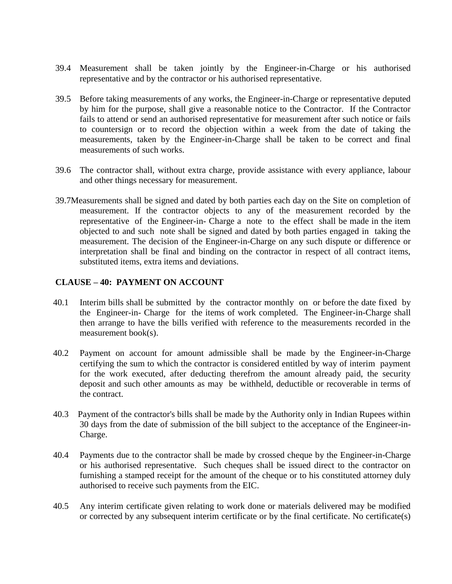- 39.4 Measurement shall be taken jointly by the Engineer-in-Charge or his authorised representative and by the contractor or his authorised representative.
- 39.5 Before taking measurements of any works, the Engineer-in-Charge or representative deputed by him for the purpose, shall give a reasonable notice to the Contractor. If the Contractor fails to attend or send an authorised representative for measurement after such notice or fails to countersign or to record the objection within a week from the date of taking the measurements, taken by the Engineer-in-Charge shall be taken to be correct and final measurements of such works.
- 39.6 The contractor shall, without extra charge, provide assistance with every appliance, labour and other things necessary for measurement.
- 39.7Measurements shall be signed and dated by both parties each day on the Site on completion of measurement. If the contractor objects to any of the measurement recorded by the representative of the Engineer-in- Charge a note to the effect shall be made in the item objected to and such note shall be signed and dated by both parties engaged in taking the measurement. The decision of the Engineer-in-Charge on any such dispute or difference or interpretation shall be final and binding on the contractor in respect of all contract items, substituted items, extra items and deviations.

#### **CLAUSE – 40: PAYMENT ON ACCOUNT**

- 40.1 Interim bills shall be submitted by the contractor monthly on or before the date fixed by the Engineer-in- Charge for the items of work completed. The Engineer-in-Charge shall then arrange to have the bills verified with reference to the measurements recorded in the measurement book(s).
- 40.2 Payment on account for amount admissible shall be made by the Engineer-in-Charge certifying the sum to which the contractor is considered entitled by way of interim payment for the work executed, after deducting therefrom the amount already paid, the security deposit and such other amounts as may be withheld, deductible or recoverable in terms of the contract.
- 40.3 Payment of the contractor's bills shall be made by the Authority only in Indian Rupees within 30 days from the date of submission of the bill subject to the acceptance of the Engineer-in-Charge.
- 40.4 Payments due to the contractor shall be made by crossed cheque by the Engineer-in-Charge or his authorised representative. Such cheques shall be issued direct to the contractor on furnishing a stamped receipt for the amount of the cheque or to his constituted attorney duly authorised to receive such payments from the EIC.
- 40.5 Any interim certificate given relating to work done or materials delivered may be modified or corrected by any subsequent interim certificate or by the final certificate. No certificate(s)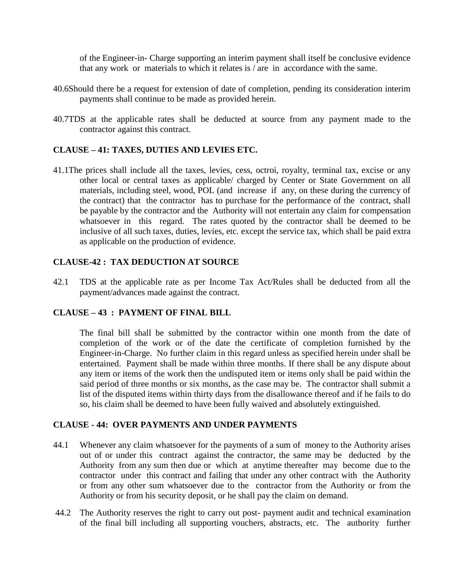of the Engineer-in- Charge supporting an interim payment shall itself be conclusive evidence that any work or materials to which it relates is / are in accordance with the same.

- 40.6Should there be a request for extension of date of completion, pending its consideration interim payments shall continue to be made as provided herein.
- 40.7TDS at the applicable rates shall be deducted at source from any payment made to the contractor against this contract.

#### **CLAUSE – 41: TAXES, DUTIES AND LEVIES ETC.**

41.1The prices shall include all the taxes, levies, cess, octroi, royalty, terminal tax, excise or any other local or central taxes as applicable/ charged by Center or State Government on all materials, including steel, wood, POL (and increase if any, on these during the currency of the contract) that the contractor has to purchase for the performance of the contract, shall be payable by the contractor and the Authority will not entertain any claim for compensation whatsoever in this regard. The rates quoted by the contractor shall be deemed to be inclusive of all such taxes, duties, levies, etc. except the service tax, which shall be paid extra as applicable on the production of evidence.

#### **CLAUSE-42 : TAX DEDUCTION AT SOURCE**

42.1 TDS at the applicable rate as per Income Tax Act/Rules shall be deducted from all the payment/advances made against the contract.

### **CLAUSE – 43 : PAYMENT OF FINAL BILL**

The final bill shall be submitted by the contractor within one month from the date of completion of the work or of the date the certificate of completion furnished by the Engineer-in-Charge. No further claim in this regard unless as specified herein under shall be entertained. Payment shall be made within three months. If there shall be any dispute about any item or items of the work then the undisputed item or items only shall be paid within the said period of three months or six months, as the case may be. The contractor shall submit a list of the disputed items within thirty days from the disallowance thereof and if he fails to do so, his claim shall be deemed to have been fully waived and absolutely extinguished.

#### **CLAUSE - 44: OVER PAYMENTS AND UNDER PAYMENTS**

- 44.1 Whenever any claim whatsoever for the payments of a sum of money to the Authority arises out of or under this contract against the contractor, the same may be deducted by the Authority from any sum then due or which at anytime thereafter may become due to the contractor under this contract and failing that under any other contract with the Authority or from any other sum whatsoever due to the contractor from the Authority or from the Authority or from his security deposit, or he shall pay the claim on demand.
- 44.2 The Authority reserves the right to carry out post- payment audit and technical examination of the final bill including all supporting vouchers, abstracts, etc. The authority further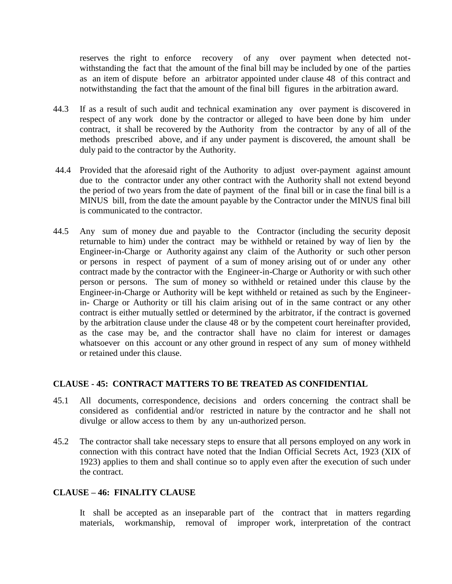reserves the right to enforce recovery of any over payment when detected notwithstanding the fact that the amount of the final bill may be included by one of the parties as an item of dispute before an arbitrator appointed under clause 48 of this contract and notwithstanding the fact that the amount of the final bill figures in the arbitration award.

- 44.3 If as a result of such audit and technical examination any over payment is discovered in respect of any work done by the contractor or alleged to have been done by him under contract, it shall be recovered by the Authority from the contractor by any of all of the methods prescribed above, and if any under payment is discovered, the amount shall be duly paid to the contractor by the Authority.
- 44.4 Provided that the aforesaid right of the Authority to adjust over-payment against amount due to the contractor under any other contract with the Authority shall not extend beyond the period of two years from the date of payment of the final bill or in case the final bill is a MINUS bill, from the date the amount payable by the Contractor under the MINUS final bill is communicated to the contractor.
- 44.5 Any sum of money due and payable to the Contractor (including the security deposit returnable to him) under the contract may be withheld or retained by way of lien by the Engineer-in-Charge or Authority against any claim of the Authority or such other person or persons in respect of payment of a sum of money arising out of or under any other contract made by the contractor with the Engineer-in-Charge or Authority or with such other person or persons. The sum of money so withheld or retained under this clause by the Engineer-in-Charge or Authority will be kept withheld or retained as such by the Engineerin- Charge or Authority or till his claim arising out of in the same contract or any other contract is either mutually settled or determined by the arbitrator, if the contract is governed by the arbitration clause under the clause 48 or by the competent court hereinafter provided, as the case may be, and the contractor shall have no claim for interest or damages whatsoever on this account or any other ground in respect of any sum of money withheld or retained under this clause.

#### **CLAUSE - 45: CONTRACT MATTERS TO BE TREATED AS CONFIDENTIAL**

- 45.1 All documents, correspondence, decisions and orders concerning the contract shall be considered as confidential and/or restricted in nature by the contractor and he shall not divulge or allow access to them by any un-authorized person.
- 45.2 The contractor shall take necessary steps to ensure that all persons employed on any work in connection with this contract have noted that the Indian Official Secrets Act, 1923 (XIX of 1923) applies to them and shall continue so to apply even after the execution of such under the contract.

#### **CLAUSE – 46: FINALITY CLAUSE**

It shall be accepted as an inseparable part of the contract that in matters regarding materials, workmanship, removal of improper work, interpretation of the contract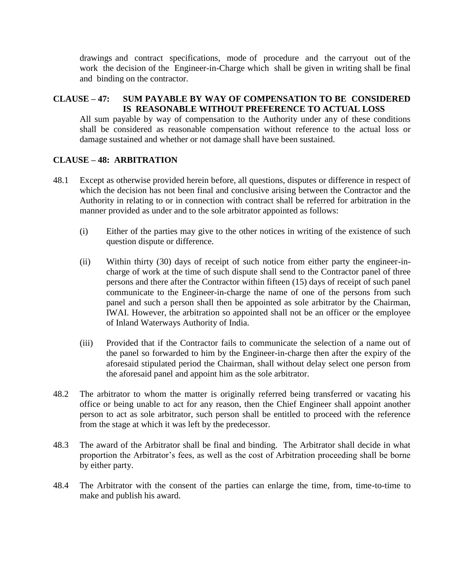drawings and contract specifications, mode of procedure and the carryout out of the work the decision of the Engineer-in-Charge which shall be given in writing shall be final and binding on the contractor.

### **CLAUSE – 47: SUM PAYABLE BY WAY OF COMPENSATION TO BE CONSIDERED IS REASONABLE WITHOUT PREFERENCE TO ACTUAL LOSS**

All sum payable by way of compensation to the Authority under any of these conditions shall be considered as reasonable compensation without reference to the actual loss or damage sustained and whether or not damage shall have been sustained.

#### **CLAUSE – 48: ARBITRATION**

- 48.1 Except as otherwise provided herein before, all questions, disputes or difference in respect of which the decision has not been final and conclusive arising between the Contractor and the Authority in relating to or in connection with contract shall be referred for arbitration in the manner provided as under and to the sole arbitrator appointed as follows:
	- (i) Either of the parties may give to the other notices in writing of the existence of such question dispute or difference.
	- (ii) Within thirty (30) days of receipt of such notice from either party the engineer-incharge of work at the time of such dispute shall send to the Contractor panel of three persons and there after the Contractor within fifteen (15) days of receipt of such panel communicate to the Engineer-in-charge the name of one of the persons from such panel and such a person shall then be appointed as sole arbitrator by the Chairman, IWAI. However, the arbitration so appointed shall not be an officer or the employee of Inland Waterways Authority of India.
	- (iii) Provided that if the Contractor fails to communicate the selection of a name out of the panel so forwarded to him by the Engineer-in-charge then after the expiry of the aforesaid stipulated period the Chairman, shall without delay select one person from the aforesaid panel and appoint him as the sole arbitrator.
- 48.2 The arbitrator to whom the matter is originally referred being transferred or vacating his office or being unable to act for any reason, then the Chief Engineer shall appoint another person to act as sole arbitrator, such person shall be entitled to proceed with the reference from the stage at which it was left by the predecessor.
- 48.3 The award of the Arbitrator shall be final and binding. The Arbitrator shall decide in what proportion the Arbitrator's fees, as well as the cost of Arbitration proceeding shall be borne by either party.
- 48.4 The Arbitrator with the consent of the parties can enlarge the time, from, time-to-time to make and publish his award.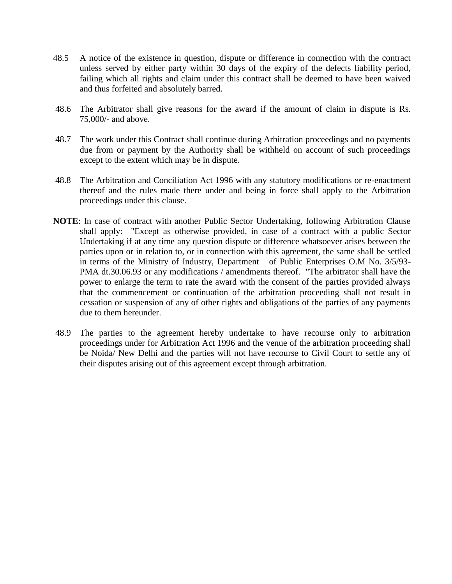- 48.5 A notice of the existence in question, dispute or difference in connection with the contract unless served by either party within 30 days of the expiry of the defects liability period, failing which all rights and claim under this contract shall be deemed to have been waived and thus forfeited and absolutely barred.
- 48.6 The Arbitrator shall give reasons for the award if the amount of claim in dispute is Rs. 75,000/- and above.
- 48.7 The work under this Contract shall continue during Arbitration proceedings and no payments due from or payment by the Authority shall be withheld on account of such proceedings except to the extent which may be in dispute.
- 48.8 The Arbitration and Conciliation Act 1996 with any statutory modifications or re-enactment thereof and the rules made there under and being in force shall apply to the Arbitration proceedings under this clause.
- **NOTE**: In case of contract with another Public Sector Undertaking, following Arbitration Clause shall apply: "Except as otherwise provided, in case of a contract with a public Sector Undertaking if at any time any question dispute or difference whatsoever arises between the parties upon or in relation to, or in connection with this agreement, the same shall be settled in terms of the Ministry of Industry, Department of Public Enterprises O.M No. 3/5/93- PMA dt.30.06.93 or any modifications / amendments thereof. "The arbitrator shall have the power to enlarge the term to rate the award with the consent of the parties provided always that the commencement or continuation of the arbitration proceeding shall not result in cessation or suspension of any of other rights and obligations of the parties of any payments due to them hereunder.
- 48.9 The parties to the agreement hereby undertake to have recourse only to arbitration proceedings under for Arbitration Act 1996 and the venue of the arbitration proceeding shall be Noida/ New Delhi and the parties will not have recourse to Civil Court to settle any of their disputes arising out of this agreement except through arbitration.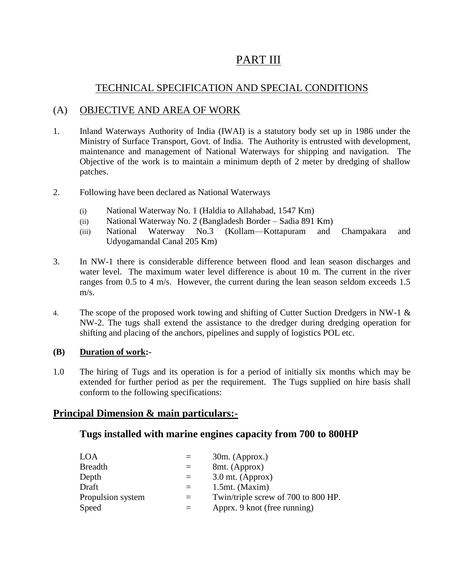# PART III

## TECHNICAL SPECIFICATION AND SPECIAL CONDITIONS

## (A) OBJECTIVE AND AREA OF WORK

- 1. Inland Waterways Authority of India (IWAI) is a statutory body set up in 1986 under the Ministry of Surface Transport, Govt. of India. The Authority is entrusted with development, maintenance and management of National Waterways for shipping and navigation. The Objective of the work is to maintain a minimum depth of 2 meter by dredging of shallow patches.
- 2. Following have been declared as National Waterways
	- (i) National Waterway No. 1 (Haldia to Allahabad, 1547 Km)
	- (ii) National Waterway No. 2 (Bangladesh Border Sadia 891 Km)
	- (iii) National Waterway No.3 (Kollam—Kottapuram and Champakara and Udyogamandal Canal 205 Km)
- 3. In NW-1 there is considerable difference between flood and lean season discharges and water level. The maximum water level difference is about 10 m. The current in the river ranges from 0.5 to 4 m/s. However, the current during the lean season seldom exceeds 1.5 m/s.
- 4. The scope of the proposed work towing and shifting of Cutter Suction Dredgers in NW-1 & NW-2. The tugs shall extend the assistance to the dredger during dredging operation for shifting and placing of the anchors, pipelines and supply of logistics POL etc.

### **(B) Duration of work:-**

1.0 The hiring of Tugs and its operation is for a period of initially six months which may be extended for further period as per the requirement. The Tugs supplied on hire basis shall conform to the following specifications:

## **Principal Dimension & main particulars:-**

## **Tugs installed with marine engines capacity from 700 to 800HP**

| LOA               |          | $30m.$ (Approx.)                    |
|-------------------|----------|-------------------------------------|
| <b>Breadth</b>    | $=$      | 8mt. (Approx)                       |
| Depth             | $\equiv$ | $3.0$ mt. (Approx)                  |
| Draft             | $=$      | $1.5$ mt. (Maxim)                   |
| Propulsion system | $=$      | Twin/triple screw of 700 to 800 HP. |
| Speed             |          | Apprx. 9 knot (free running)        |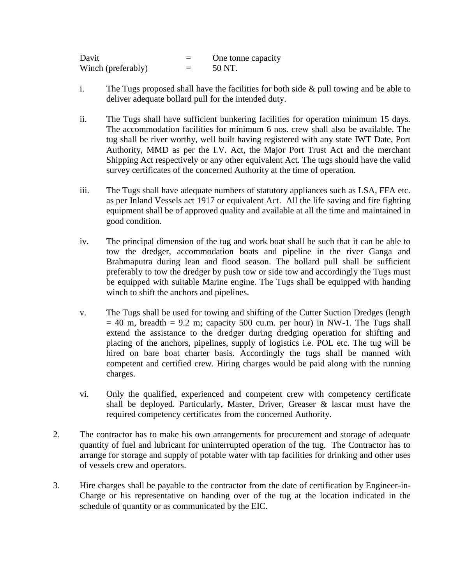| Davit              | One tonne capacity |
|--------------------|--------------------|
| Winch (preferably) | 50 NT.             |

- i. The Tugs proposed shall have the facilities for both side & pull towing and be able to deliver adequate bollard pull for the intended duty.
- ii. The Tugs shall have sufficient bunkering facilities for operation minimum 15 days. The accommodation facilities for minimum 6 nos. crew shall also be available. The tug shall be river worthy, well built having registered with any state IWT Date, Port Authority, MMD as per the I.V. Act, the Major Port Trust Act and the merchant Shipping Act respectively or any other equivalent Act. The tugs should have the valid survey certificates of the concerned Authority at the time of operation.
- iii. The Tugs shall have adequate numbers of statutory appliances such as LSA, FFA etc. as per Inland Vessels act 1917 or equivalent Act. All the life saving and fire fighting equipment shall be of approved quality and available at all the time and maintained in good condition.
- iv. The principal dimension of the tug and work boat shall be such that it can be able to tow the dredger, accommodation boats and pipeline in the river Ganga and Brahmaputra during lean and flood season. The bollard pull shall be sufficient preferably to tow the dredger by push tow or side tow and accordingly the Tugs must be equipped with suitable Marine engine. The Tugs shall be equipped with handing winch to shift the anchors and pipelines.
- v. The Tugs shall be used for towing and shifting of the Cutter Suction Dredges (length  $= 40$  m, breadth  $= 9.2$  m; capacity 500 cu.m. per hour) in NW-1. The Tugs shall extend the assistance to the dredger during dredging operation for shifting and placing of the anchors, pipelines, supply of logistics i.e. POL etc. The tug will be hired on bare boat charter basis. Accordingly the tugs shall be manned with competent and certified crew. Hiring charges would be paid along with the running charges.
- vi. Only the qualified, experienced and competent crew with competency certificate shall be deployed. Particularly, Master, Driver, Greaser & lascar must have the required competency certificates from the concerned Authority.
- 2. The contractor has to make his own arrangements for procurement and storage of adequate quantity of fuel and lubricant for uninterrupted operation of the tug. The Contractor has to arrange for storage and supply of potable water with tap facilities for drinking and other uses of vessels crew and operators.
- 3. Hire charges shall be payable to the contractor from the date of certification by Engineer-in-Charge or his representative on handing over of the tug at the location indicated in the schedule of quantity or as communicated by the EIC.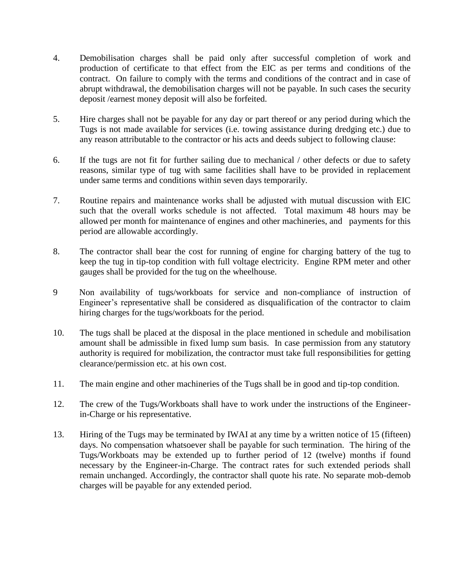- 4. Demobilisation charges shall be paid only after successful completion of work and production of certificate to that effect from the EIC as per terms and conditions of the contract. On failure to comply with the terms and conditions of the contract and in case of abrupt withdrawal, the demobilisation charges will not be payable. In such cases the security deposit /earnest money deposit will also be forfeited.
- 5. Hire charges shall not be payable for any day or part thereof or any period during which the Tugs is not made available for services (i.e. towing assistance during dredging etc.) due to any reason attributable to the contractor or his acts and deeds subject to following clause:
- 6. If the tugs are not fit for further sailing due to mechanical / other defects or due to safety reasons, similar type of tug with same facilities shall have to be provided in replacement under same terms and conditions within seven days temporarily.
- 7. Routine repairs and maintenance works shall be adjusted with mutual discussion with EIC such that the overall works schedule is not affected. Total maximum 48 hours may be allowed per month for maintenance of engines and other machineries, and payments for this period are allowable accordingly.
- 8. The contractor shall bear the cost for running of engine for charging battery of the tug to keep the tug in tip-top condition with full voltage electricity. Engine RPM meter and other gauges shall be provided for the tug on the wheelhouse.
- 9 Non availability of tugs/workboats for service and non-compliance of instruction of Engineer's representative shall be considered as disqualification of the contractor to claim hiring charges for the tugs/workboats for the period.
- 10. The tugs shall be placed at the disposal in the place mentioned in schedule and mobilisation amount shall be admissible in fixed lump sum basis. In case permission from any statutory authority is required for mobilization, the contractor must take full responsibilities for getting clearance/permission etc. at his own cost.
- 11. The main engine and other machineries of the Tugs shall be in good and tip-top condition.
- 12. The crew of the Tugs/Workboats shall have to work under the instructions of the Engineerin-Charge or his representative.
- 13. Hiring of the Tugs may be terminated by IWAI at any time by a written notice of 15 (fifteen) days. No compensation whatsoever shall be payable for such termination. The hiring of the Tugs/Workboats may be extended up to further period of 12 (twelve) months if found necessary by the Engineer-in-Charge. The contract rates for such extended periods shall remain unchanged. Accordingly, the contractor shall quote his rate. No separate mob-demob charges will be payable for any extended period.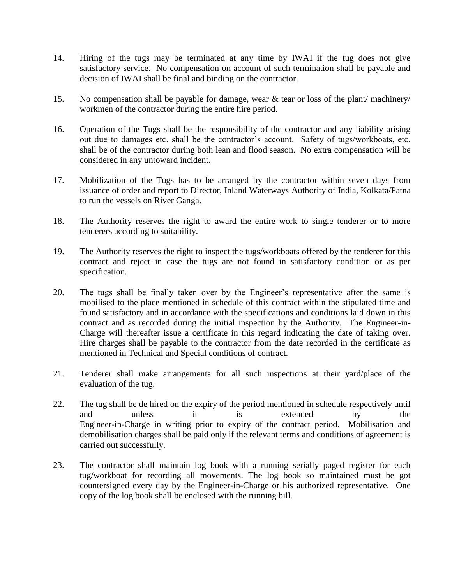- 14. Hiring of the tugs may be terminated at any time by IWAI if the tug does not give satisfactory service. No compensation on account of such termination shall be payable and decision of IWAI shall be final and binding on the contractor.
- 15. No compensation shall be payable for damage, wear & tear or loss of the plant/ machinery/ workmen of the contractor during the entire hire period.
- 16. Operation of the Tugs shall be the responsibility of the contractor and any liability arising out due to damages etc. shall be the contractor's account. Safety of tugs/workboats, etc. shall be of the contractor during both lean and flood season. No extra compensation will be considered in any untoward incident.
- 17. Mobilization of the Tugs has to be arranged by the contractor within seven days from issuance of order and report to Director, Inland Waterways Authority of India, Kolkata/Patna to run the vessels on River Ganga.
- 18. The Authority reserves the right to award the entire work to single tenderer or to more tenderers according to suitability.
- 19. The Authority reserves the right to inspect the tugs/workboats offered by the tenderer for this contract and reject in case the tugs are not found in satisfactory condition or as per specification.
- 20. The tugs shall be finally taken over by the Engineer's representative after the same is mobilised to the place mentioned in schedule of this contract within the stipulated time and found satisfactory and in accordance with the specifications and conditions laid down in this contract and as recorded during the initial inspection by the Authority. The Engineer-in-Charge will thereafter issue a certificate in this regard indicating the date of taking over. Hire charges shall be payable to the contractor from the date recorded in the certificate as mentioned in Technical and Special conditions of contract.
- 21. Tenderer shall make arrangements for all such inspections at their yard/place of the evaluation of the tug.
- 22. The tug shall be de hired on the expiry of the period mentioned in schedule respectively until and unless it is extended by the Engineer-in-Charge in writing prior to expiry of the contract period. Mobilisation and demobilisation charges shall be paid only if the relevant terms and conditions of agreement is carried out successfully.
- 23. The contractor shall maintain log book with a running serially paged register for each tug/workboat for recording all movements. The log book so maintained must be got countersigned every day by the Engineer-in-Charge or his authorized representative. One copy of the log book shall be enclosed with the running bill.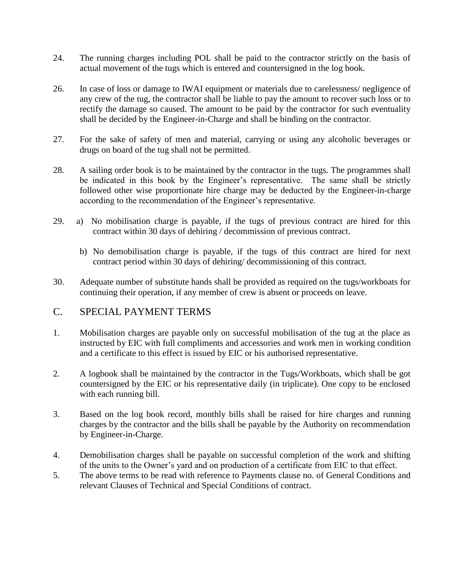- 24. The running charges including POL shall be paid to the contractor strictly on the basis of actual movement of the tugs which is entered and countersigned in the log book.
- 26. In case of loss or damage to IWAI equipment or materials due to carelessness/ negligence of any crew of the tug, the contractor shall be liable to pay the amount to recover such loss or to rectify the damage so caused. The amount to be paid by the contractor for such eventuality shall be decided by the Engineer-in-Charge and shall be binding on the contractor.
- 27. For the sake of safety of men and material, carrying or using any alcoholic beverages or drugs on board of the tug shall not be permitted.
- 28. A sailing order book is to be maintained by the contractor in the tugs. The programmes shall be indicated in this book by the Engineer's representative. The same shall be strictly followed other wise proportionate hire charge may be deducted by the Engineer-in-charge according to the recommendation of the Engineer's representative.
- 29. a) No mobilisation charge is payable, if the tugs of previous contract are hired for this contract within 30 days of dehiring / decommission of previous contract.
	- b) No demobilisation charge is payable, if the tugs of this contract are hired for next contract period within 30 days of dehiring/ decommissioning of this contract.
- 30. Adequate number of substitute hands shall be provided as required on the tugs/workboats for continuing their operation, if any member of crew is absent or proceeds on leave.

## C. SPECIAL PAYMENT TERMS

- 1. Mobilisation charges are payable only on successful mobilisation of the tug at the place as instructed by EIC with full compliments and accessories and work men in working condition and a certificate to this effect is issued by EIC or his authorised representative.
- 2. A logbook shall be maintained by the contractor in the Tugs/Workboats, which shall be got countersigned by the EIC or his representative daily (in triplicate). One copy to be enclosed with each running bill.
- 3. Based on the log book record, monthly bills shall be raised for hire charges and running charges by the contractor and the bills shall be payable by the Authority on recommendation by Engineer-in-Charge.
- 4. Demobilisation charges shall be payable on successful completion of the work and shifting of the units to the Owner's yard and on production of a certificate from EIC to that effect.
- 5. The above terms to be read with reference to Payments clause no. of General Conditions and relevant Clauses of Technical and Special Conditions of contract.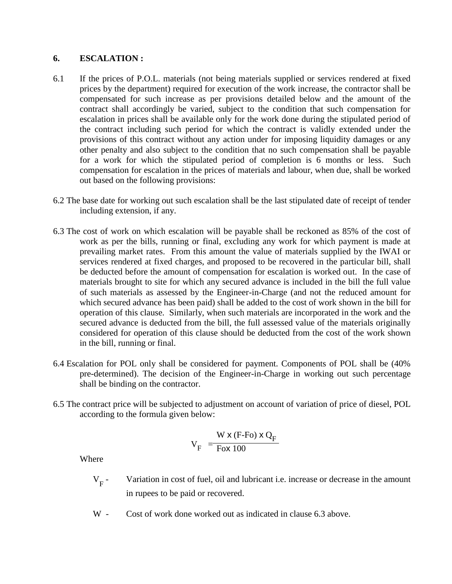#### **6. ESCALATION :**

- 6.1 If the prices of P.O.L. materials (not being materials supplied or services rendered at fixed prices by the department) required for execution of the work increase, the contractor shall be compensated for such increase as per provisions detailed below and the amount of the contract shall accordingly be varied, subject to the condition that such compensation for escalation in prices shall be available only for the work done during the stipulated period of the contract including such period for which the contract is validly extended under the provisions of this contract without any action under for imposing liquidity damages or any other penalty and also subject to the condition that no such compensation shall be payable for a work for which the stipulated period of completion is 6 months or less. Such compensation for escalation in the prices of materials and labour, when due, shall be worked out based on the following provisions:
- 6.2 The base date for working out such escalation shall be the last stipulated date of receipt of tender including extension, if any.
- 6.3 The cost of work on which escalation will be payable shall be reckoned as 85% of the cost of work as per the bills, running or final, excluding any work for which payment is made at prevailing market rates. From this amount the value of materials supplied by the IWAI or services rendered at fixed charges, and proposed to be recovered in the particular bill, shall be deducted before the amount of compensation for escalation is worked out. In the case of materials brought to site for which any secured advance is included in the bill the full value of such materials as assessed by the Engineer-in-Charge (and not the reduced amount for which secured advance has been paid) shall be added to the cost of work shown in the bill for operation of this clause. Similarly, when such materials are incorporated in the work and the secured advance is deducted from the bill, the full assessed value of the materials originally considered for operation of this clause should be deducted from the cost of the work shown in the bill, running or final.
- 6.4 Escalation for POL only shall be considered for payment. Components of POL shall be (40% pre-determined). The decision of the Engineer-in-Charge in working out such percentage shall be binding on the contractor.
- 6.5 The contract price will be subjected to adjustment on account of variation of price of diesel, POL according to the formula given below:

$$
V_F = \frac{W \times (F\text{-Fo}) \times Q_F}{F \times 100}
$$

Where

- $V_{F}$  -Variation in cost of fuel, oil and lubricant i.e. increase or decrease in the amount in rupees to be paid or recovered.
- W Cost of work done worked out as indicated in clause 6.3 above.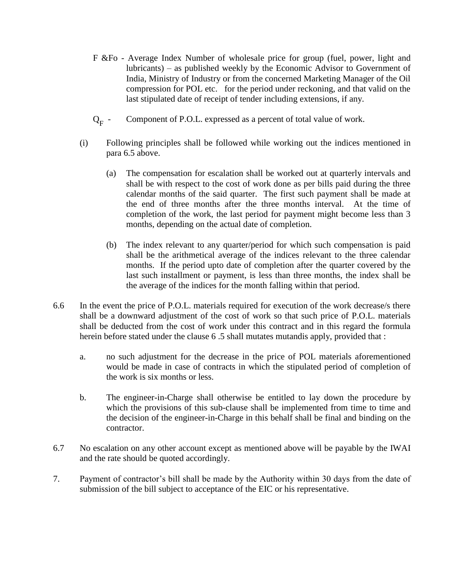- F &Fo Average Index Number of wholesale price for group (fuel, power, light and lubricants) – as published weekly by the Economic Advisor to Government of India, Ministry of Industry or from the concerned Marketing Manager of the Oil compression for POL etc. for the period under reckoning, and that valid on the last stipulated date of receipt of tender including extensions, if any.
- $Q_F$  -Component of P.O.L. expressed as a percent of total value of work.
- (i) Following principles shall be followed while working out the indices mentioned in para 6.5 above.
	- (a) The compensation for escalation shall be worked out at quarterly intervals and shall be with respect to the cost of work done as per bills paid during the three calendar months of the said quarter. The first such payment shall be made at the end of three months after the three months interval. At the time of completion of the work, the last period for payment might become less than 3 months, depending on the actual date of completion.
	- (b) The index relevant to any quarter/period for which such compensation is paid shall be the arithmetical average of the indices relevant to the three calendar months. If the period upto date of completion after the quarter covered by the last such installment or payment, is less than three months, the index shall be the average of the indices for the month falling within that period.
- 6.6 In the event the price of P.O.L. materials required for execution of the work decrease/s there shall be a downward adjustment of the cost of work so that such price of P.O.L. materials shall be deducted from the cost of work under this contract and in this regard the formula herein before stated under the clause 6 .5 shall mutates mutandis apply, provided that :
	- a. no such adjustment for the decrease in the price of POL materials aforementioned would be made in case of contracts in which the stipulated period of completion of the work is six months or less.
	- b. The engineer-in-Charge shall otherwise be entitled to lay down the procedure by which the provisions of this sub-clause shall be implemented from time to time and the decision of the engineer-in-Charge in this behalf shall be final and binding on the contractor.
- 6.7 No escalation on any other account except as mentioned above will be payable by the IWAI and the rate should be quoted accordingly.
- 7. Payment of contractor's bill shall be made by the Authority within 30 days from the date of submission of the bill subject to acceptance of the EIC or his representative.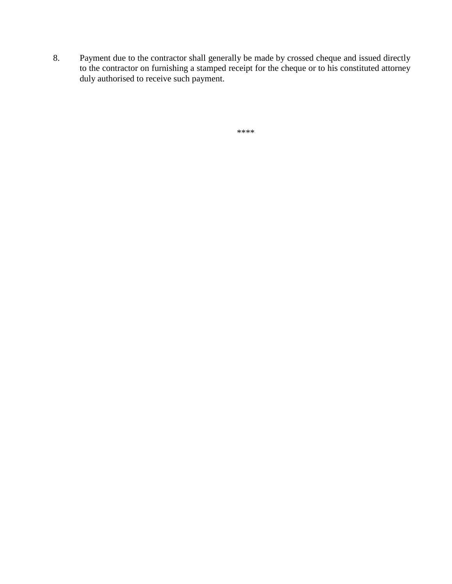8. Payment due to the contractor shall generally be made by crossed cheque and issued directly to the contractor on furnishing a stamped receipt for the cheque or to his constituted attorney duly authorised to receive such payment.

```
****
```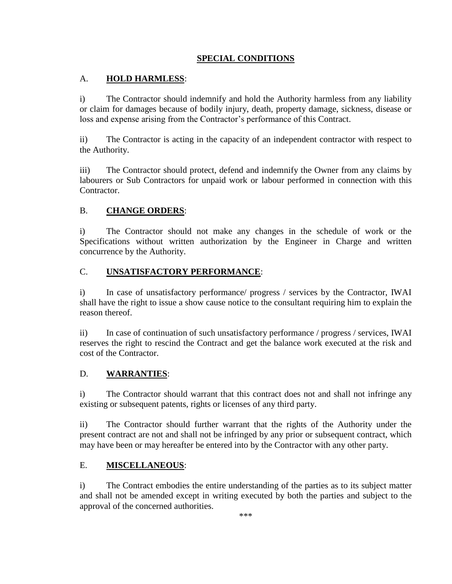## **SPECIAL CONDITIONS**

## A. **HOLD HARMLESS**:

i) The Contractor should indemnify and hold the Authority harmless from any liability or claim for damages because of bodily injury, death, property damage, sickness, disease or loss and expense arising from the Contractor's performance of this Contract.

ii) The Contractor is acting in the capacity of an independent contractor with respect to the Authority.

iii) The Contractor should protect, defend and indemnify the Owner from any claims by labourers or Sub Contractors for unpaid work or labour performed in connection with this Contractor.

## B. **CHANGE ORDERS**:

i) The Contractor should not make any changes in the schedule of work or the Specifications without written authorization by the Engineer in Charge and written concurrence by the Authority.

### C. **UNSATISFACTORY PERFORMANCE**:

i) In case of unsatisfactory performance/ progress / services by the Contractor, IWAI shall have the right to issue a show cause notice to the consultant requiring him to explain the reason thereof.

ii) In case of continuation of such unsatisfactory performance / progress / services, IWAI reserves the right to rescind the Contract and get the balance work executed at the risk and cost of the Contractor.

### D. **WARRANTIES**:

i) The Contractor should warrant that this contract does not and shall not infringe any existing or subsequent patents, rights or licenses of any third party.

ii) The Contractor should further warrant that the rights of the Authority under the present contract are not and shall not be infringed by any prior or subsequent contract, which may have been or may hereafter be entered into by the Contractor with any other party.

### E. **MISCELLANEOUS**:

i) The Contract embodies the entire understanding of the parties as to its subject matter and shall not be amended except in writing executed by both the parties and subject to the approval of the concerned authorities.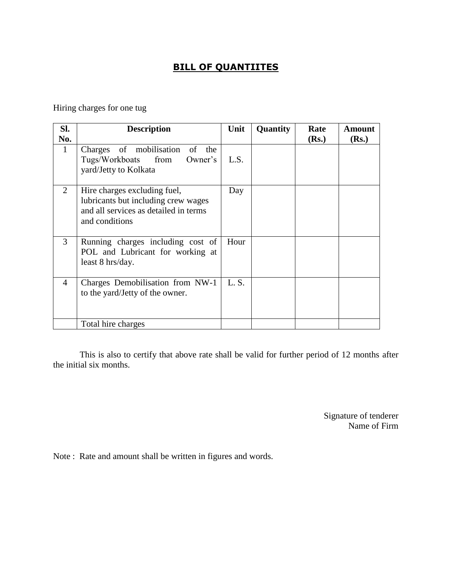## **BILL OF QUANTIITES**

Hiring charges for one tug

| Sl.            | <b>Description</b>                                                                                                             | Unit  | Quantity | Rate  | Amount |
|----------------|--------------------------------------------------------------------------------------------------------------------------------|-------|----------|-------|--------|
| No.            |                                                                                                                                |       |          | (Rs.) | (Rs.)  |
| 1              | Charges of mobilisation of the<br>Tugs/Workboats from<br>Owner's<br>yard/Jetty to Kolkata                                      | L.S.  |          |       |        |
| 2              | Hire charges excluding fuel,<br>lubricants but including crew wages<br>and all services as detailed in terms<br>and conditions |       |          |       |        |
| 3              | Running charges including cost of<br>POL and Lubricant for working at<br>least 8 hrs/day.                                      | Hour  |          |       |        |
| $\overline{A}$ | Charges Demobilisation from NW-1<br>to the yard/Jetty of the owner.                                                            | L. S. |          |       |        |
|                | Total hire charges                                                                                                             |       |          |       |        |

This is also to certify that above rate shall be valid for further period of 12 months after the initial six months.

> Signature of tenderer Name of Firm

Note : Rate and amount shall be written in figures and words.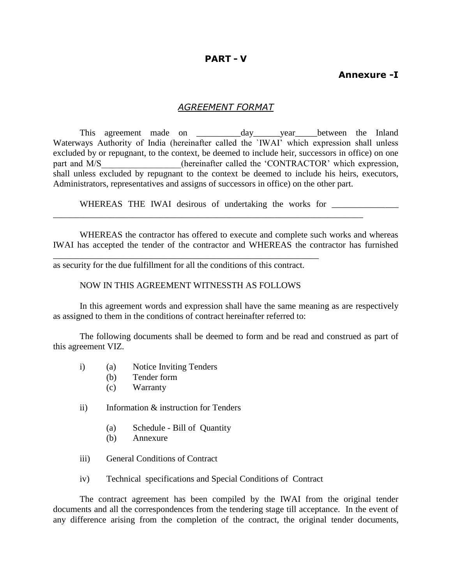#### **PART - V**

## **Annexure -I**

#### *AGREEMENT FORMAT*

This agreement made on \_\_\_\_\_\_\_\_\_\_day\_\_\_\_\_\_year\_\_\_\_\_between the Inland Waterways Authority of India (hereinafter called the `IWAI' which expression shall unless excluded by or repugnant, to the context, be deemed to include heir, successors in office) on one part and M/S (hereinafter called the 'CONTRACTOR' which expression, shall unless excluded by repugnant to the context be deemed to include his heirs, executors, Administrators, representatives and assigns of successors in office) on the other part.

WHEREAS THE IWAI desirous of undertaking the works for

WHEREAS the contractor has offered to execute and complete such works and whereas IWAI has accepted the tender of the contractor and WHEREAS the contractor has furnished

\_\_\_\_\_\_\_\_\_\_\_\_\_\_\_\_\_\_\_\_\_\_\_\_\_\_\_\_\_\_\_\_\_\_\_\_\_\_\_\_\_\_\_\_\_\_\_\_\_\_\_\_\_\_\_\_\_\_\_\_\_\_\_\_\_\_\_\_\_\_

as security for the due fulfillment for all the conditions of this contract.

\_\_\_\_\_\_\_\_\_\_\_\_\_\_\_\_\_\_\_\_\_\_\_\_\_\_\_\_\_\_\_\_\_\_\_\_\_\_\_\_\_\_\_\_\_\_\_\_\_\_\_\_\_\_\_\_\_\_\_\_

#### NOW IN THIS AGREEMENT WITNESSTH AS FOLLOWS

In this agreement words and expression shall have the same meaning as are respectively as assigned to them in the conditions of contract hereinafter referred to:

The following documents shall be deemed to form and be read and construed as part of this agreement VIZ.

- i) (a) Notice Inviting Tenders
	- (b) Tender form
	- (c) Warranty
- ii) Information & instruction for Tenders
	- (a) Schedule Bill of Quantity
	- (b) Annexure
- iii) General Conditions of Contract
- iv) Technical specifications and Special Conditions of Contract

The contract agreement has been compiled by the IWAI from the original tender documents and all the correspondences from the tendering stage till acceptance. In the event of any difference arising from the completion of the contract, the original tender documents,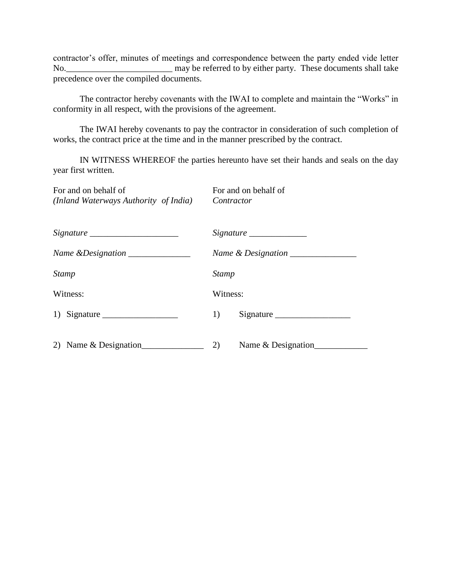contractor's offer, minutes of meetings and correspondence between the party ended vide letter No.\_\_\_\_\_\_\_\_\_\_\_\_\_\_\_\_\_\_\_\_\_\_\_\_ may be referred to by either party. These documents shall take precedence over the compiled documents.

The contractor hereby covenants with the IWAI to complete and maintain the "Works" in conformity in all respect, with the provisions of the agreement.

The IWAI hereby covenants to pay the contractor in consideration of such completion of works, the contract price at the time and in the manner prescribed by the contract.

IN WITNESS WHEREOF the parties hereunto have set their hands and seals on the day year first written.

| For and on behalf of<br>(Inland Waterways Authority of India) | For and on behalf of<br>Contractor |
|---------------------------------------------------------------|------------------------------------|
|                                                               |                                    |
| Name & Designation ______________                             |                                    |
| <b>Stamp</b>                                                  | Stamp                              |
| Witness:                                                      | Witness:                           |
|                                                               | 1)<br>$Sigma_{\_$                  |
| 2) Name & Designation                                         | 2)<br>Name & Designation           |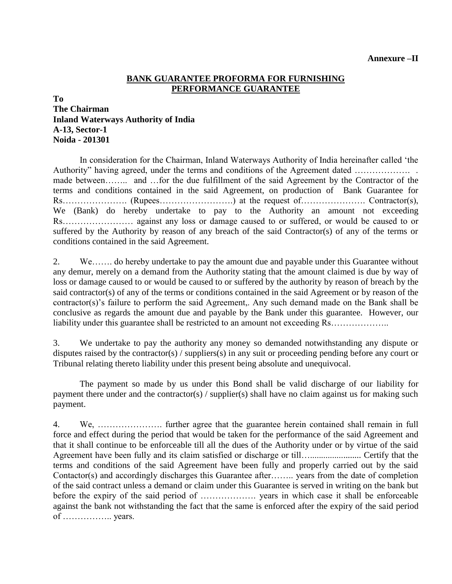#### **BANK GUARANTEE PROFORMA FOR FURNISHING PERFORMANCE GUARANTEE**

**To**

## **The Chairman Inland Waterways Authority of India A-13, Sector-1 Noida - 201301**

In consideration for the Chairman, Inland Waterways Authority of India hereinafter called 'the Authority" having agreed, under the terms and conditions of the Agreement dated …………………. made between…….. and …for the due fulfillment of the said Agreement by the Contractor of the terms and conditions contained in the said Agreement, on production of Bank Guarantee for Rs…………………. (Rupees…………………….) at the request of…………………. Contractor(s), We (Bank) do hereby undertake to pay to the Authority an amount not exceeding Rs…………………… against any loss or damage caused to or suffered, or would be caused to or suffered by the Authority by reason of any breach of the said Contractor(s) of any of the terms or conditions contained in the said Agreement.

2. We……. do hereby undertake to pay the amount due and payable under this Guarantee without any demur, merely on a demand from the Authority stating that the amount claimed is due by way of loss or damage caused to or would be caused to or suffered by the authority by reason of breach by the said contractor(s) of any of the terms or conditions contained in the said Agreement or by reason of the contractor(s)'s failure to perform the said Agreement,. Any such demand made on the Bank shall be conclusive as regards the amount due and payable by the Bank under this guarantee. However, our liability under this guarantee shall be restricted to an amount not exceeding Rs……………….

3. We undertake to pay the authority any money so demanded notwithstanding any dispute or disputes raised by the contractor(s) / suppliers(s) in any suit or proceeding pending before any court or Tribunal relating thereto liability under this present being absolute and unequivocal.

The payment so made by us under this Bond shall be valid discharge of our liability for payment there under and the contractor(s) / supplier(s) shall have no claim against us for making such payment.

4. We, …………………. further agree that the guarantee herein contained shall remain in full force and effect during the period that would be taken for the performance of the said Agreement and that it shall continue to be enforceable till all the dues of the Authority under or by virtue of the said Agreement have been fully and its claim satisfied or discharge or till…....................... Certify that the terms and conditions of the said Agreement have been fully and properly carried out by the said Contactor(s) and accordingly discharges this Guarantee after…….. years from the date of completion of the said contract unless a demand or claim under this Guarantee is served in writing on the bank but before the expiry of the said period of ………………. years in which case it shall be enforceable against the bank not withstanding the fact that the same is enforced after the expiry of the said period of …………….. years.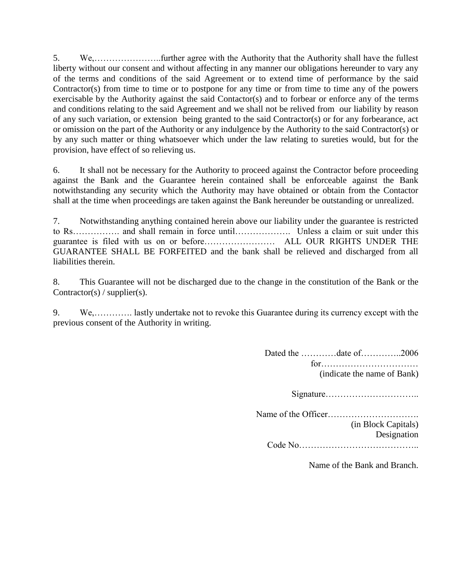5. We,…………………..further agree with the Authority that the Authority shall have the fullest liberty without our consent and without affecting in any manner our obligations hereunder to vary any of the terms and conditions of the said Agreement or to extend time of performance by the said Contractor(s) from time to time or to postpone for any time or from time to time any of the powers exercisable by the Authority against the said Contactor(s) and to forbear or enforce any of the terms and conditions relating to the said Agreement and we shall not be relived from our liability by reason of any such variation, or extension being granted to the said Contractor(s) or for any forbearance, act or omission on the part of the Authority or any indulgence by the Authority to the said Contractor(s) or by any such matter or thing whatsoever which under the law relating to sureties would, but for the provision, have effect of so relieving us.

6. It shall not be necessary for the Authority to proceed against the Contractor before proceeding against the Bank and the Guarantee herein contained shall be enforceable against the Bank notwithstanding any security which the Authority may have obtained or obtain from the Contactor shall at the time when proceedings are taken against the Bank hereunder be outstanding or unrealized.

7. Notwithstanding anything contained herein above our liability under the guarantee is restricted to Rs……………. and shall remain in force until………………. Unless a claim or suit under this guarantee is filed with us on or before…………………… ALL OUR RIGHTS UNDER THE GUARANTEE SHALL BE FORFEITED and the bank shall be relieved and discharged from all liabilities therein.

8. This Guarantee will not be discharged due to the change in the constitution of the Bank or the Contractor(s) / supplier(s).

9. We,…………. lastly undertake not to revoke this Guarantee during its currency except with the previous consent of the Authority in writing.

> Dated the …………date of…………..2006 for…………………………… (indicate the name of Bank) Signature………………………….. Name of the Officer…………………………. (in Block Capitals)

Designation Code No…………………………………..

Name of the Bank and Branch.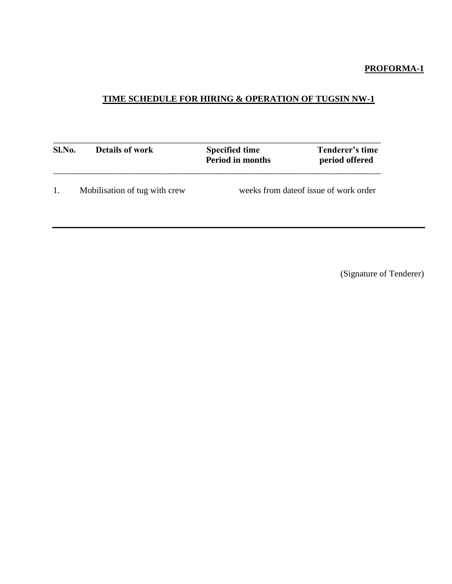## **PROFORMA-1**

# **TIME SCHEDULE FOR HIRING & OPERATION OF TUGSIN NW-1**

| Sl.No. | <b>Details of work</b>        | <b>Specified time</b><br><b>Period in months</b> | Tenderer's time<br>period offered |  |
|--------|-------------------------------|--------------------------------------------------|-----------------------------------|--|
| 1.     | Mobilisation of tug with crew | weeks from date of issue of work order           |                                   |  |

(Signature of Tenderer)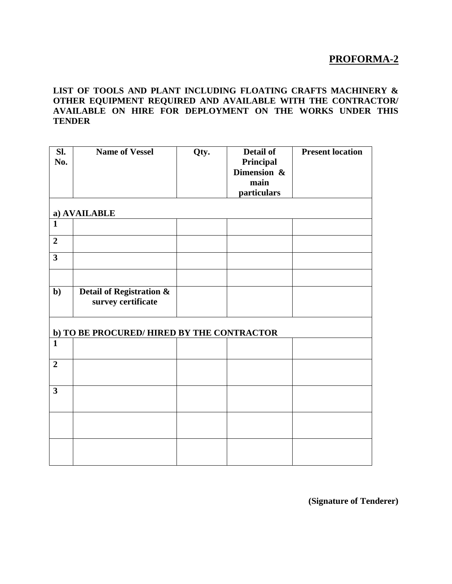## **PROFORMA-2**

#### **LIST OF TOOLS AND PLANT INCLUDING FLOATING CRAFTS MACHINERY & OTHER EQUIPMENT REQUIRED AND AVAILABLE WITH THE CONTRACTOR/ AVAILABLE ON HIRE FOR DEPLOYMENT ON THE WORKS UNDER THIS TENDER**

| Sl.<br>No.              | <b>Name of Vessel</b>                                     | Qty. | <b>Detail of</b><br>Principal<br>Dimension &<br>main<br>particulars | <b>Present location</b> |
|-------------------------|-----------------------------------------------------------|------|---------------------------------------------------------------------|-------------------------|
|                         | a) AVAILABLE                                              |      |                                                                     |                         |
| $\mathbf{1}$            |                                                           |      |                                                                     |                         |
| $\overline{2}$          |                                                           |      |                                                                     |                         |
| $\overline{\mathbf{3}}$ |                                                           |      |                                                                     |                         |
|                         |                                                           |      |                                                                     |                         |
| $b$                     | <b>Detail of Registration &amp;</b><br>survey certificate |      |                                                                     |                         |
|                         | b) TO BE PROCURED/ HIRED BY THE CONTRACTOR                |      |                                                                     |                         |
| $\mathbf{1}$            |                                                           |      |                                                                     |                         |
| $\overline{2}$          |                                                           |      |                                                                     |                         |
| $\overline{\mathbf{3}}$ |                                                           |      |                                                                     |                         |
|                         |                                                           |      |                                                                     |                         |
|                         |                                                           |      |                                                                     |                         |

**(Signature of Tenderer)**